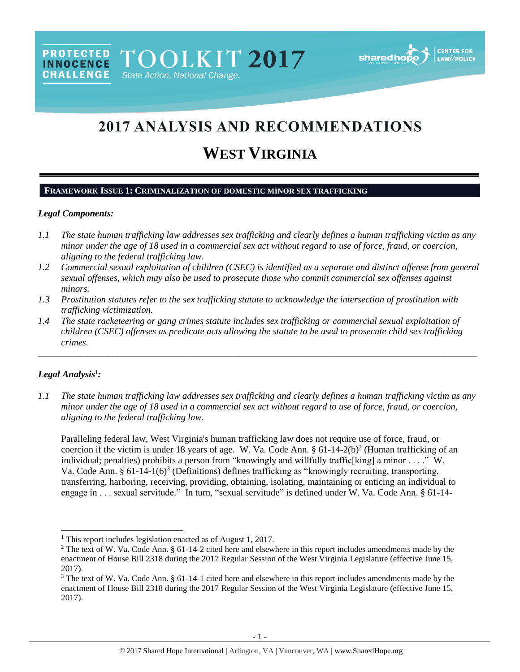# 2017 ANALYSIS AND RECOMMENDATIONS

# **WEST VIRGINIA**

#### **FRAMEWORK ISSUE 1: CRIMINALIZATION OF DOMESTIC MINOR SEX TRAFFICKING**

PROTECTED TOOLKIT 2017

State Action. National Change.

#### *Legal Components:*

**CHALLENGE** 

- *1.1 The state human trafficking law addresses sex trafficking and clearly defines a human trafficking victim as any minor under the age of 18 used in a commercial sex act without regard to use of force, fraud, or coercion, aligning to the federal trafficking law.*
- *1.2 Commercial sexual exploitation of children (CSEC) is identified as a separate and distinct offense from general sexual offenses, which may also be used to prosecute those who commit commercial sex offenses against minors.*
- *1.3 Prostitution statutes refer to the sex trafficking statute to acknowledge the intersection of prostitution with trafficking victimization.*
- *1.4 The state racketeering or gang crimes statute includes sex trafficking or commercial sexual exploitation of children (CSEC) offenses as predicate acts allowing the statute to be used to prosecute child sex trafficking crimes.*

\_\_\_\_\_\_\_\_\_\_\_\_\_\_\_\_\_\_\_\_\_\_\_\_\_\_\_\_\_\_\_\_\_\_\_\_\_\_\_\_\_\_\_\_\_\_\_\_\_\_\_\_\_\_\_\_\_\_\_\_\_\_\_\_\_\_\_\_\_\_\_\_\_\_\_\_\_\_\_\_\_\_\_\_\_\_\_\_\_\_\_\_\_\_

#### *Legal Analysis*<sup>1</sup> *:*

 $\overline{a}$ 

*1.1 The state human trafficking law addresses sex trafficking and clearly defines a human trafficking victim as any minor under the age of 18 used in a commercial sex act without regard to use of force, fraud, or coercion, aligning to the federal trafficking law.*

<span id="page-0-1"></span><span id="page-0-0"></span>Paralleling federal law, West Virginia's human trafficking law does not require use of force, fraud, or coercion if the victim is under 18 years of age. W. Va. Code Ann.  $\S 61-14-2(b)^2$  (Human trafficking of an individual; penalties) prohibits a person from "knowingly and willfully traffic[king] a minor  $\dots$ ." W. Va. Code Ann. § 61-14-1(6)<sup>3</sup> (Definitions) defines trafficking as "knowingly recruiting, transporting, transferring, harboring, receiving, providing, obtaining, isolating, maintaining or enticing an individual to engage in . . . sexual servitude." In turn, "sexual servitude" is defined under W. Va. Code Ann. § 61-14-

<sup>&</sup>lt;sup>1</sup> This report includes legislation enacted as of August 1, 2017.

<sup>&</sup>lt;sup>2</sup> The text of W. Va. Code Ann. § 61-14-2 cited here and elsewhere in this report includes amendments made by the enactment of House Bill 2318 during the 2017 Regular Session of the West Virginia Legislature (effective June 15, 2017).

<sup>&</sup>lt;sup>3</sup> The text of W. Va. Code Ann. § 61-14-1 cited here and elsewhere in this report includes amendments made by the enactment of House Bill 2318 during the 2017 Regular Session of the West Virginia Legislature (effective June 15, 2017).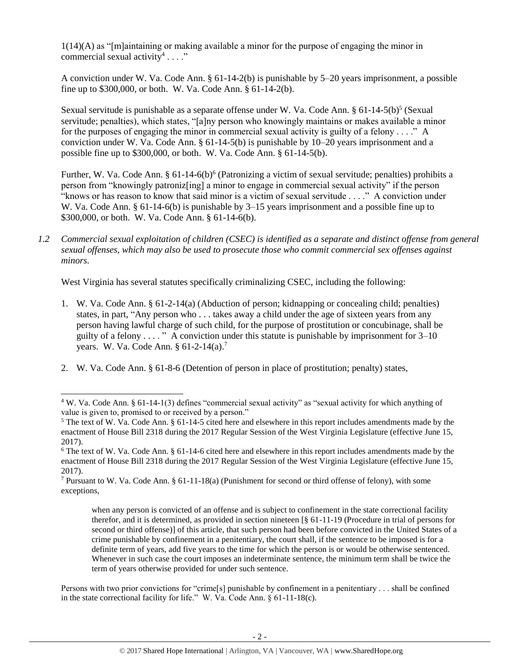1(14)(A) as "[m]aintaining or making available a minor for the purpose of engaging the minor in commercial sexual activity<sup>4</sup>...."

A conviction under W. Va. Code Ann. § 61-14-2(b) is punishable by 5–20 years imprisonment, a possible fine up to \$300,000, or both. W. Va. Code Ann. § 61-14-2(b).

<span id="page-1-2"></span>Sexual servitude is punishable as a separate offense under W. Va. Code Ann. § 61-14-5(b)<sup>5</sup> (Sexual servitude; penalties), which states, "[a]ny person who knowingly maintains or makes available a minor for the purposes of engaging the minor in commercial sexual activity is guilty of a felony  $\dots$ ." A conviction under W. Va. Code Ann. § 61-14-5(b) is punishable by 10–20 years imprisonment and a possible fine up to \$300,000, or both. W. Va. Code Ann. § 61-14-5(b).

<span id="page-1-0"></span>Further, W. Va. Code Ann. § 61-14-6(b)<sup>6</sup> (Patronizing a victim of sexual servitude; penalties) prohibits a person from "knowingly patroniz[ing] a minor to engage in commercial sexual activity" if the person "knows or has reason to know that said minor is a victim of sexual servitude . . . ." A conviction under W. Va. Code Ann. § 61-14-6(b) is punishable by 3–15 years imprisonment and a possible fine up to \$300,000, or both. W. Va. Code Ann. § 61-14-6(b).

<span id="page-1-1"></span>*1.2 Commercial sexual exploitation of children (CSEC) is identified as a separate and distinct offense from general sexual offenses, which may also be used to prosecute those who commit commercial sex offenses against minors.*

West Virginia has several statutes specifically criminalizing CSEC, including the following:

- 1. W. Va. Code Ann. § 61-2-14(a) (Abduction of person; kidnapping or concealing child; penalties) states, in part, "Any person who . . . takes away a child under the age of sixteen years from any person having lawful charge of such child, for the purpose of prostitution or concubinage, shall be guilty of a felony  $\dots$ ." A conviction under this statute is punishable by imprisonment for  $3-10$ years. W. Va. Code Ann. § 61-2-14(a).<sup>7</sup>
- 2. W. Va. Code Ann. § 61-8-6 (Detention of person in place of prostitution; penalty) states,

l

when any person is convicted of an offense and is subject to confinement in the state correctional facility therefor, and it is determined, as provided in section nineteen [§ 61-11-19 (Procedure in trial of persons for second or third offense)] of this article, that such person had been before convicted in the United States of a crime punishable by confinement in a penitentiary, the court shall, if the sentence to be imposed is for a definite term of years, add five years to the time for which the person is or would be otherwise sentenced. Whenever in such case the court imposes an indeterminate sentence, the minimum term shall be twice the term of years otherwise provided for under such sentence.

Persons with two prior convictions for "crime[s] punishable by confinement in a penitentiary . . . shall be confined in the state correctional facility for life." W. Va. Code Ann. § 61-11-18(c).

<sup>4</sup> W. Va. Code Ann. § 61-14-1(3) defines "commercial sexual activity" as "sexual activity for which anything of value is given to, promised to or received by a person."

<sup>5</sup> The text of W. Va. Code Ann. § 61-14-5 cited here and elsewhere in this report includes amendments made by the enactment of House Bill 2318 during the 2017 Regular Session of the West Virginia Legislature (effective June 15, 2017).

<sup>6</sup> The text of W. Va. Code Ann. § 61-14-6 cited here and elsewhere in this report includes amendments made by the enactment of House Bill 2318 during the 2017 Regular Session of the West Virginia Legislature (effective June 15, 2017).

<sup>&</sup>lt;sup>7</sup> Pursuant to W. Va. Code Ann. § 61-11-18(a) (Punishment for second or third offense of felony), with some exceptions,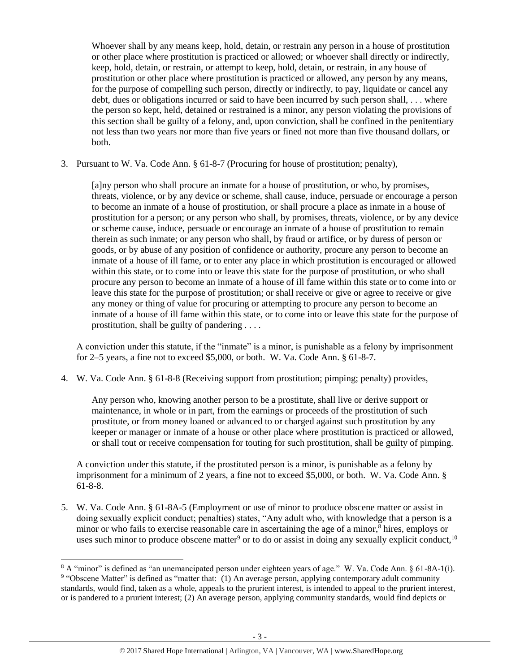Whoever shall by any means keep, hold, detain, or restrain any person in a house of prostitution or other place where prostitution is practiced or allowed; or whoever shall directly or indirectly, keep, hold, detain, or restrain, or attempt to keep, hold, detain, or restrain, in any house of prostitution or other place where prostitution is practiced or allowed, any person by any means, for the purpose of compelling such person, directly or indirectly, to pay, liquidate or cancel any debt, dues or obligations incurred or said to have been incurred by such person shall, . . . where the person so kept, held, detained or restrained is a minor, any person violating the provisions of this section shall be guilty of a felony, and, upon conviction, shall be confined in the penitentiary not less than two years nor more than five years or fined not more than five thousand dollars, or both.

3. Pursuant to W. Va. Code Ann. § 61-8-7 (Procuring for house of prostitution; penalty),

[a]ny person who shall procure an inmate for a house of prostitution, or who, by promises, threats, violence, or by any device or scheme, shall cause, induce, persuade or encourage a person to become an inmate of a house of prostitution, or shall procure a place as inmate in a house of prostitution for a person; or any person who shall, by promises, threats, violence, or by any device or scheme cause, induce, persuade or encourage an inmate of a house of prostitution to remain therein as such inmate; or any person who shall, by fraud or artifice, or by duress of person or goods, or by abuse of any position of confidence or authority, procure any person to become an inmate of a house of ill fame, or to enter any place in which prostitution is encouraged or allowed within this state, or to come into or leave this state for the purpose of prostitution, or who shall procure any person to become an inmate of a house of ill fame within this state or to come into or leave this state for the purpose of prostitution; or shall receive or give or agree to receive or give any money or thing of value for procuring or attempting to procure any person to become an inmate of a house of ill fame within this state, or to come into or leave this state for the purpose of prostitution, shall be guilty of pandering . . . .

A conviction under this statute, if the "inmate" is a minor, is punishable as a felony by imprisonment for 2–5 years, a fine not to exceed \$5,000, or both. W. Va. Code Ann. § 61-8-7.

4. W. Va. Code Ann. § 61-8-8 (Receiving support from prostitution; pimping; penalty) provides,

Any person who, knowing another person to be a prostitute, shall live or derive support or maintenance, in whole or in part, from the earnings or proceeds of the prostitution of such prostitute, or from money loaned or advanced to or charged against such prostitution by any keeper or manager or inmate of a house or other place where prostitution is practiced or allowed, or shall tout or receive compensation for touting for such prostitution, shall be guilty of pimping.

<span id="page-2-1"></span><span id="page-2-0"></span>A conviction under this statute, if the prostituted person is a minor, is punishable as a felony by imprisonment for a minimum of 2 years, a fine not to exceed \$5,000, or both. W. Va. Code Ann. § 61-8-8.

5. W. Va. Code Ann. § 61-8A-5 (Employment or use of minor to produce obscene matter or assist in doing sexually explicit conduct; penalties) states, "Any adult who, with knowledge that a person is a minor or who fails to exercise reasonable care in ascertaining the age of a minor, $\delta$  hires, employs or uses such minor to produce obscene matter<sup>9</sup> or to do or assist in doing any sexually explicit conduct,<sup>10</sup>

<sup>8</sup> A "minor" is defined as "an unemancipated person under eighteen years of age." W. Va. Code Ann. § 61-8A-1(i). <sup>9</sup> "Obscene Matter" is defined as "matter that: (1) An average person, applying contemporary adult community standards, would find, taken as a whole, appeals to the prurient interest, is intended to appeal to the prurient interest, or is pandered to a prurient interest; (2) An average person, applying community standards, would find depicts or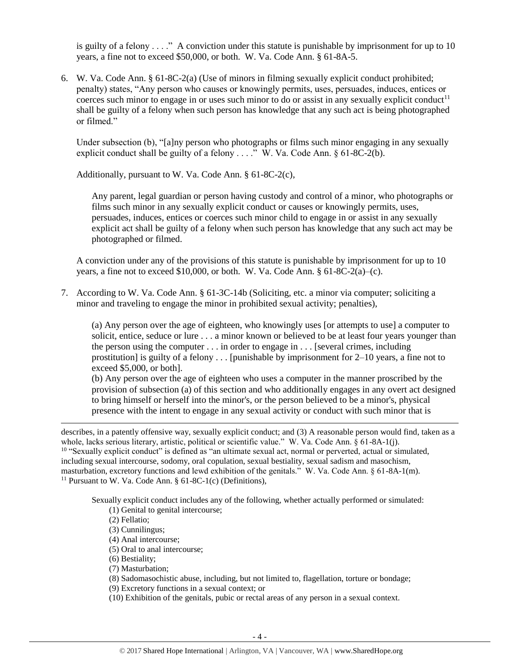is guilty of a felony  $\dots$ ." A conviction under this statute is punishable by imprisonment for up to 10 years, a fine not to exceed \$50,000, or both. W. Va. Code Ann. § 61-8A-5.

6. W. Va. Code Ann. § 61-8C-2(a) (Use of minors in filming sexually explicit conduct prohibited; penalty) states, "Any person who causes or knowingly permits, uses, persuades, induces, entices or coerces such minor to engage in or uses such minor to do or assist in any sexually explicit conduct<sup>11</sup> shall be guilty of a felony when such person has knowledge that any such act is being photographed or filmed."

Under subsection (b), "[a]ny person who photographs or films such minor engaging in any sexually explicit conduct shall be guilty of a felony . . . ." W. Va. Code Ann. § 61-8C-2(b).

Additionally, pursuant to W. Va. Code Ann. § 61-8C-2(c),

<span id="page-3-0"></span>Any parent, legal guardian or person having custody and control of a minor, who photographs or films such minor in any sexually explicit conduct or causes or knowingly permits, uses, persuades, induces, entices or coerces such minor child to engage in or assist in any sexually explicit act shall be guilty of a felony when such person has knowledge that any such act may be photographed or filmed.

A conviction under any of the provisions of this statute is punishable by imprisonment for up to 10 years, a fine not to exceed \$10,000, or both. W. Va. Code Ann.  $§ 61-8C-2(a)-(c)$ .

7. According to W. Va. Code Ann. § 61-3C-14b (Soliciting, etc. a minor via computer; soliciting a minor and traveling to engage the minor in prohibited sexual activity; penalties),

(a) Any person over the age of eighteen, who knowingly uses [or attempts to use] a computer to solicit, entice, seduce or lure . . . a minor known or believed to be at least four years younger than the person using the computer . . . in order to engage in . . . [several crimes, including prostitution] is guilty of a felony  $\dots$  [punishable by imprisonment for 2–10 years, a fine not to exceed \$5,000, or both].

(b) Any person over the age of eighteen who uses a computer in the manner proscribed by the provision of subsection (a) of this section and who additionally engages in any overt act designed to bring himself or herself into the minor's, or the person believed to be a minor's, physical presence with the intent to engage in any sexual activity or conduct with such minor that is

describes, in a patently offensive way, sexually explicit conduct; and (3) A reasonable person would find, taken as a whole, lacks serious literary, artistic, political or scientific value." W. Va. Code Ann. § 61-8A-1(j).  $10$  "Sexually explicit conduct" is defined as "an ultimate sexual act, normal or perverted, actual or simulated, including sexual intercourse, sodomy, oral copulation, sexual bestiality, sexual sadism and masochism, masturbation, excretory functions and lewd exhibition of the genitals." W. Va. Code Ann. § 61-8A-1(m). <sup>11</sup> Pursuant to W. Va. Code Ann.  $§ 61-8C-1(c)$  (Definitions),

Sexually explicit conduct includes any of the following, whether actually performed or simulated:

- (1) Genital to genital intercourse;
- (2) Fellatio;

- (3) Cunnilingus;
- (4) Anal intercourse;
- (5) Oral to anal intercourse;
- (6) Bestiality;
- (7) Masturbation;
- (8) Sadomasochistic abuse, including, but not limited to, flagellation, torture or bondage;
- (9) Excretory functions in a sexual context; or
- (10) Exhibition of the genitals, pubic or rectal areas of any person in a sexual context.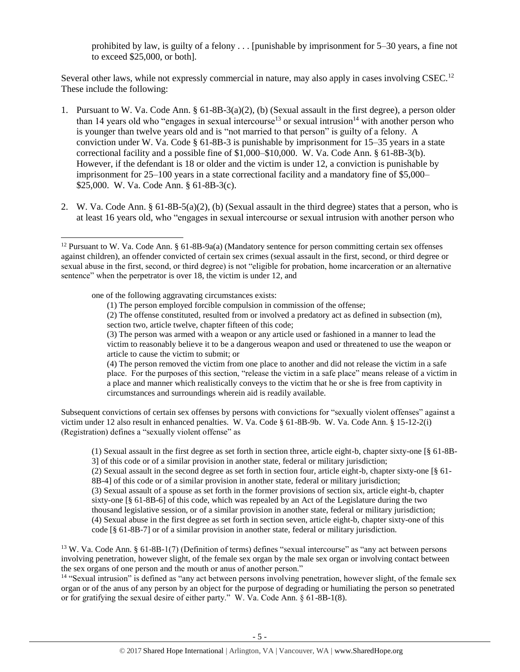prohibited by law, is guilty of a felony . . . [punishable by imprisonment for 5–30 years, a fine not to exceed \$25,000, or both].

Several other laws, while not expressly commercial in nature, may also apply in cases involving CSEC.<sup>12</sup> These include the following:

- 1. Pursuant to W. Va. Code Ann. § 61-8B-3(a)(2), (b) (Sexual assault in the first degree), a person older than 14 years old who "engages in sexual intercourse<sup>13</sup> or sexual intrusion<sup>14</sup> with another person who is younger than twelve years old and is "not married to that person" is guilty of a felony. A conviction under W. Va. Code § 61-8B-3 is punishable by imprisonment for 15–35 years in a state correctional facility and a possible fine of \$1,000–\$10,000. W. Va. Code Ann. § 61-8B-3(b). However, if the defendant is 18 or older and the victim is under 12, a conviction is punishable by imprisonment for 25–100 years in a state correctional facility and a mandatory fine of \$5,000– \$25,000. W. Va. Code Ann. § 61-8B-3(c).
- 2. W. Va. Code Ann. § 61-8B-5(a)(2), (b) (Sexual assault in the third degree) states that a person, who is at least 16 years old, who "engages in sexual intercourse or sexual intrusion with another person who

one of the following aggravating circumstances exists:

 $\overline{a}$ 

(1) The person employed forcible compulsion in commission of the offense;

(2) The offense constituted, resulted from or involved a predatory act as defined in subsection (m), section two, article twelve, chapter fifteen of this code;

(3) The person was armed with a weapon or any article used or fashioned in a manner to lead the

victim to reasonably believe it to be a dangerous weapon and used or threatened to use the weapon or article to cause the victim to submit; or

(4) The person removed the victim from one place to another and did not release the victim in a safe place. For the purposes of this section, "release the victim in a safe place" means release of a victim in a place and manner which realistically conveys to the victim that he or she is free from captivity in circumstances and surroundings wherein aid is readily available.

Subsequent convictions of certain sex offenses by persons with convictions for "sexually violent offenses" against a victim under 12 also result in enhanced penalties. W. Va. Code § 61-8B-9b. W. Va. Code Ann. § 15-12-2(i) (Registration) defines a "sexually violent offense" as

(1) Sexual assault in the first degree as set forth in section three, article eight-b, chapter sixty-one [§ 61-8B-3] of this code or of a similar provision in another state, federal or military jurisdiction;

(2) Sexual assault in the second degree as set forth in section four, article eight-b, chapter sixty-one [§ 61- 8B-4] of this code or of a similar provision in another state, federal or military jurisdiction;

(3) Sexual assault of a spouse as set forth in the former provisions of section six, article eight-b, chapter sixty-one [§ 61-8B-6] of this code, which was repealed by an Act of the Legislature during the two thousand legislative session, or of a similar provision in another state, federal or military jurisdiction; (4) Sexual abuse in the first degree as set forth in section seven, article eight-b, chapter sixty-one of this code [§ 61-8B-7] or of a similar provision in another state, federal or military jurisdiction.

<sup>13</sup> W. Va. Code Ann. § 61-8B-1(7) (Definition of terms) defines "sexual intercourse" as "any act between persons involving penetration, however slight, of the female sex organ by the male sex organ or involving contact between the sex organs of one person and the mouth or anus of another person."

<sup>14</sup> "Sexual intrusion" is defined as "any act between persons involving penetration, however slight, of the female sex organ or of the anus of any person by an object for the purpose of degrading or humiliating the person so penetrated or for gratifying the sexual desire of either party." W. Va. Code Ann. § 61-8B-1(8).

<sup>&</sup>lt;sup>12</sup> Pursuant to W. Va. Code Ann. § 61-8B-9a(a) (Mandatory sentence for person committing certain sex offenses against children), an offender convicted of certain sex crimes (sexual assault in the first, second, or third degree or sexual abuse in the first, second, or third degree) is not "eligible for probation, home incarceration or an alternative sentence" when the perpetrator is over 18, the victim is under 12, and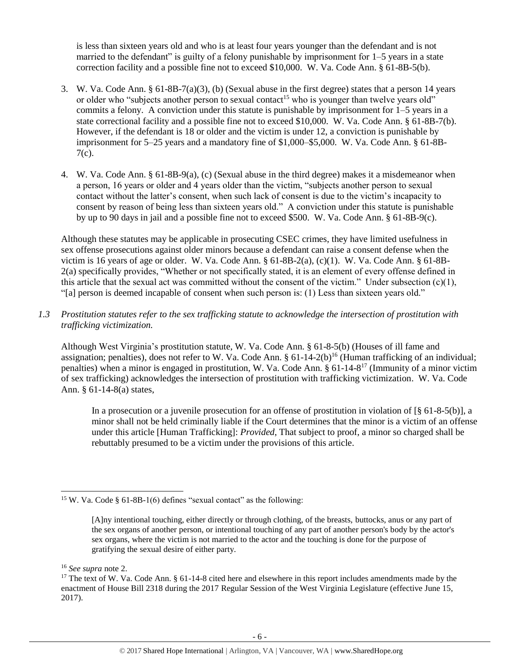is less than sixteen years old and who is at least four years younger than the defendant and is not married to the defendant" is guilty of a felony punishable by imprisonment for 1–5 years in a state correction facility and a possible fine not to exceed \$10,000. W. Va. Code Ann. § 61-8B-5(b).

- 3. W. Va. Code Ann. § 61-8B-7(a)(3), (b) (Sexual abuse in the first degree) states that a person 14 years or older who "subjects another person to sexual contact<sup>15</sup> who is younger than twelve years old" commits a felony. A conviction under this statute is punishable by imprisonment for 1–5 years in a state correctional facility and a possible fine not to exceed \$10,000. W. Va. Code Ann. § 61-8B-7(b). However, if the defendant is 18 or older and the victim is under 12, a conviction is punishable by imprisonment for 5–25 years and a mandatory fine of \$1,000–\$5,000. W. Va. Code Ann. § 61-8B-7(c).
- 4. W. Va. Code Ann. § 61-8B-9(a), (c) (Sexual abuse in the third degree) makes it a misdemeanor when a person, 16 years or older and 4 years older than the victim, "subjects another person to sexual contact without the latter's consent, when such lack of consent is due to the victim's incapacity to consent by reason of being less than sixteen years old." A conviction under this statute is punishable by up to 90 days in jail and a possible fine not to exceed \$500. W. Va. Code Ann. § 61-8B-9(c).

Although these statutes may be applicable in prosecuting CSEC crimes, they have limited usefulness in sex offense prosecutions against older minors because a defendant can raise a consent defense when the victim is 16 years of age or older. W. Va. Code Ann. § 61-8B-2(a), (c)(1). W. Va. Code Ann. § 61-8B-2(a) specifically provides, "Whether or not specifically stated, it is an element of every offense defined in this article that the sexual act was committed without the consent of the victim." Under subsection  $(c)(1)$ , "[a] person is deemed incapable of consent when such person is: (1) Less than sixteen years old."

*1.3 Prostitution statutes refer to the sex trafficking statute to acknowledge the intersection of prostitution with trafficking victimization.* 

Although West Virginia's prostitution statute, W. Va. Code Ann. § 61-8-5(b) (Houses of ill fame and assignation; penalties), does not refer to W. Va. Code Ann.  $\S 61-14-2(b)^{16}$  (Human trafficking of an individual; penalties) when a minor is engaged in prostitution, W. Va. Code Ann. § 61-14-8<sup>17</sup> (Immunity of a minor victim of sex trafficking) acknowledges the intersection of prostitution with trafficking victimization. W. Va. Code Ann. § 61-14-8(a) states,

<span id="page-5-0"></span>In a prosecution or a juvenile prosecution for an offense of prostitution in violation of  $\lceil \S 61 - 8 - 5(6) \rceil$ , a minor shall not be held criminally liable if the Court determines that the minor is a victim of an offense under this article [Human Trafficking]: *Provided*, That subject to proof, a minor so charged shall be rebuttably presumed to be a victim under the provisions of this article.

<sup>16</sup> *See supra* note [2.](#page-0-0)

l

<sup>&</sup>lt;sup>15</sup> W. Va. Code § 61-8B-1(6) defines "sexual contact" as the following:

<sup>[</sup>A]ny intentional touching, either directly or through clothing, of the breasts, buttocks, anus or any part of the sex organs of another person, or intentional touching of any part of another person's body by the actor's sex organs, where the victim is not married to the actor and the touching is done for the purpose of gratifying the sexual desire of either party.

<sup>&</sup>lt;sup>17</sup> The text of W. Va. Code Ann.  $\S$  61-14-8 cited here and elsewhere in this report includes amendments made by the enactment of House Bill 2318 during the 2017 Regular Session of the West Virginia Legislature (effective June 15, 2017).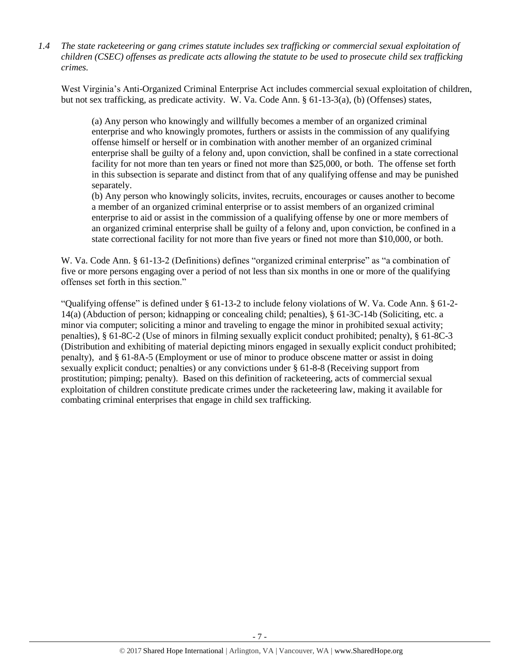*1.4 The state racketeering or gang crimes statute includes sex trafficking or commercial sexual exploitation of children (CSEC) offenses as predicate acts allowing the statute to be used to prosecute child sex trafficking crimes.* 

West Virginia's Anti-Organized Criminal Enterprise Act includes commercial sexual exploitation of children, but not sex trafficking, as predicate activity. W. Va. Code Ann. § 61-13-3(a), (b) (Offenses) states,

(a) Any person who knowingly and willfully becomes a member of an organized criminal enterprise and who knowingly promotes, furthers or assists in the commission of any qualifying offense himself or herself or in combination with another member of an organized criminal enterprise shall be guilty of a felony and, upon conviction, shall be confined in a state correctional facility for not more than ten years or fined not more than \$25,000, or both. The offense set forth in this subsection is separate and distinct from that of any qualifying offense and may be punished separately.

(b) Any person who knowingly solicits, invites, recruits, encourages or causes another to become a member of an organized criminal enterprise or to assist members of an organized criminal enterprise to aid or assist in the commission of a qualifying offense by one or more members of an organized criminal enterprise shall be guilty of a felony and, upon conviction, be confined in a state correctional facility for not more than five years or fined not more than \$10,000, or both.

W. Va. Code Ann. § 61-13-2 (Definitions) defines "organized criminal enterprise" as "a combination of five or more persons engaging over a period of not less than six months in one or more of the qualifying offenses set forth in this section."

"Qualifying offense" is defined under § 61-13-2 to include felony violations of W. Va. Code Ann. § 61-2- 14(a) (Abduction of person; kidnapping or concealing child; penalties), § 61-3C-14b (Soliciting, etc. a minor via computer; soliciting a minor and traveling to engage the minor in prohibited sexual activity; penalties), § 61-8C-2 (Use of minors in filming sexually explicit conduct prohibited; penalty), § 61-8C-3 (Distribution and exhibiting of material depicting minors engaged in sexually explicit conduct prohibited; penalty), and § 61-8A-5 (Employment or use of minor to produce obscene matter or assist in doing sexually explicit conduct; penalties) or any convictions under § 61-8-8 (Receiving support from prostitution; pimping; penalty). Based on this definition of racketeering, acts of commercial sexual exploitation of children constitute predicate crimes under the racketeering law, making it available for combating criminal enterprises that engage in child sex trafficking.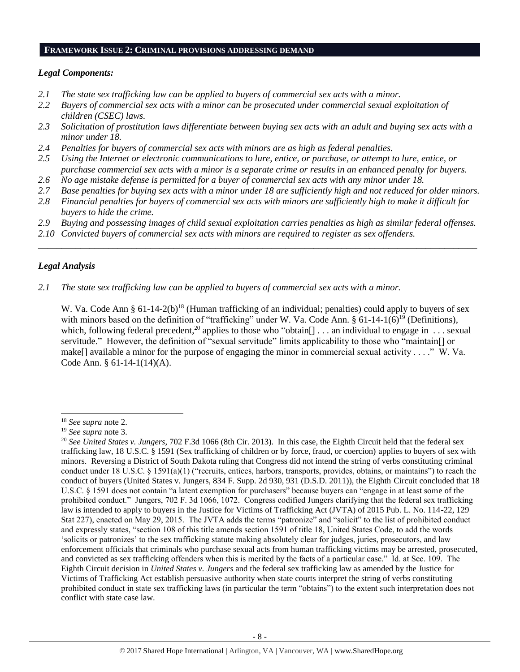#### **FRAMEWORK ISSUE 2: CRIMINAL PROVISIONS ADDRESSING DEMAND**

#### *Legal Components:*

- *2.1 The state sex trafficking law can be applied to buyers of commercial sex acts with a minor.*
- *2.2 Buyers of commercial sex acts with a minor can be prosecuted under commercial sexual exploitation of children (CSEC) laws.*
- *2.3 Solicitation of prostitution laws differentiate between buying sex acts with an adult and buying sex acts with a minor under 18.*
- *2.4 Penalties for buyers of commercial sex acts with minors are as high as federal penalties.*
- *2.5 Using the Internet or electronic communications to lure, entice, or purchase, or attempt to lure, entice, or purchase commercial sex acts with a minor is a separate crime or results in an enhanced penalty for buyers.*
- *2.6 No age mistake defense is permitted for a buyer of commercial sex acts with any minor under 18.*
- *2.7 Base penalties for buying sex acts with a minor under 18 are sufficiently high and not reduced for older minors.*
- *2.8 Financial penalties for buyers of commercial sex acts with minors are sufficiently high to make it difficult for buyers to hide the crime.*
- *2.9 Buying and possessing images of child sexual exploitation carries penalties as high as similar federal offenses.*
- *2.10 Convicted buyers of commercial sex acts with minors are required to register as sex offenders.* \_\_\_\_\_\_\_\_\_\_\_\_\_\_\_\_\_\_\_\_\_\_\_\_\_\_\_\_\_\_\_\_\_\_\_\_\_\_\_\_\_\_\_\_\_\_\_\_\_\_\_\_\_\_\_\_\_\_\_\_\_\_\_\_\_\_\_\_\_\_\_\_\_\_\_\_\_\_\_\_\_\_\_\_\_\_\_\_\_\_\_\_\_\_

## *Legal Analysis*

 $\overline{a}$ 

*2.1 The state sex trafficking law can be applied to buyers of commercial sex acts with a minor.*

W. Va. Code Ann §  $61-14-2(b)^{18}$  (Human trafficking of an individual; penalties) could apply to buvers of sex with minors based on the definition of "trafficking" under W. Va. Code Ann. § 61-14-1(6)<sup>19</sup> (Definitions), which, following federal precedent,<sup>20</sup> applies to those who "obtain[]  $\dots$  an individual to engage in  $\dots$  sexual servitude." However, the definition of "sexual servitude" limits applicability to those who "maintain[] or make[] available a minor for the purpose of engaging the minor in commercial sexual activity . . . ." W. Va. Code Ann. § 61-14-1(14)(A).

<sup>18</sup> *See supra* note [2.](#page-0-0)

<sup>19</sup> *See supra* note [3.](#page-0-1)

<sup>20</sup> *See United States v. Jungers*, 702 F.3d 1066 (8th Cir. 2013). In this case, the Eighth Circuit held that the federal sex trafficking law, 18 U.S.C. § 1591 (Sex trafficking of children or by force, fraud, or coercion) applies to buyers of sex with minors. Reversing a District of South Dakota ruling that Congress did not intend the string of verbs constituting criminal conduct under 18 U.S.C. § 1591(a)(1) ("recruits, entices, harbors, transports, provides, obtains, or maintains") to reach the conduct of buyers (United States v. Jungers, 834 F. Supp. 2d 930, 931 (D.S.D. 2011)), the Eighth Circuit concluded that 18 U.S.C. § 1591 does not contain "a latent exemption for purchasers" because buyers can "engage in at least some of the prohibited conduct." Jungers, 702 F. 3d 1066, 1072. Congress codified Jungers clarifying that the federal sex trafficking law is intended to apply to buyers in the Justice for Victims of Trafficking Act (JVTA) of 2015 Pub. L. No. 114-22, 129 Stat 227), enacted on May 29, 2015. The JVTA adds the terms "patronize" and "solicit" to the list of prohibited conduct and expressly states, "section 108 of this title amends section 1591 of title 18, United States Code, to add the words 'solicits or patronizes' to the sex trafficking statute making absolutely clear for judges, juries, prosecutors, and law enforcement officials that criminals who purchase sexual acts from human trafficking victims may be arrested, prosecuted, and convicted as sex trafficking offenders when this is merited by the facts of a particular case." Id. at Sec. 109. The Eighth Circuit decision in *United States v. Jungers* and the federal sex trafficking law as amended by the Justice for Victims of Trafficking Act establish persuasive authority when state courts interpret the string of verbs constituting prohibited conduct in state sex trafficking laws (in particular the term "obtains") to the extent such interpretation does not conflict with state case law.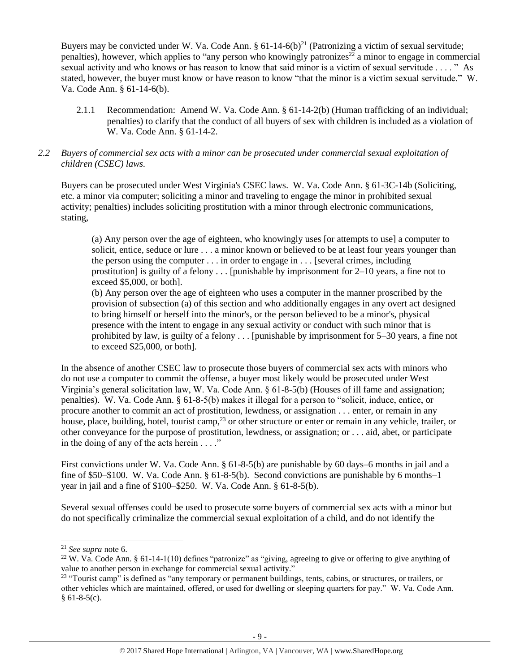Buyers may be convicted under W. Va. Code Ann.  $\S 61-14-6(b)^{21}$  (Patronizing a victim of sexual servitude; penalties), however, which applies to "any person who knowingly patronizes<sup>22</sup> a minor to engage in commercial sexual activity and who knows or has reason to know that said minor is a victim of sexual servitude . . . . " As stated, however, the buyer must know or have reason to know "that the minor is a victim sexual servitude." W. Va. Code Ann. § 61-14-6(b).

2.1.1 Recommendation: Amend W. Va. Code Ann. § 61-14-2(b) (Human trafficking of an individual; penalties) to clarify that the conduct of all buyers of sex with children is included as a violation of W. Va. Code Ann. § 61-14-2.

## *2.2 Buyers of commercial sex acts with a minor can be prosecuted under commercial sexual exploitation of children (CSEC) laws.*

Buyers can be prosecuted under West Virginia's CSEC laws. W. Va. Code Ann. § 61-3C-14b (Soliciting, etc. a minor via computer; soliciting a minor and traveling to engage the minor in prohibited sexual activity; penalties) includes soliciting prostitution with a minor through electronic communications, stating,

(a) Any person over the age of eighteen, who knowingly uses [or attempts to use] a computer to solicit, entice, seduce or lure . . . a minor known or believed to be at least four years younger than the person using the computer . . . in order to engage in . . . [several crimes, including prostitution] is guilty of a felony  $\dots$  [punishable by imprisonment for 2–10 years, a fine not to exceed \$5,000, or both].

(b) Any person over the age of eighteen who uses a computer in the manner proscribed by the provision of subsection (a) of this section and who additionally engages in any overt act designed to bring himself or herself into the minor's, or the person believed to be a minor's, physical presence with the intent to engage in any sexual activity or conduct with such minor that is prohibited by law, is guilty of a felony . . . [punishable by imprisonment for 5–30 years, a fine not to exceed \$25,000, or both].

In the absence of another CSEC law to prosecute those buyers of commercial sex acts with minors who do not use a computer to commit the offense, a buyer most likely would be prosecuted under West Virginia's general solicitation law, W. Va. Code Ann. § 61-8-5(b) (Houses of ill fame and assignation; penalties). W. Va. Code Ann. § 61-8-5(b) makes it illegal for a person to "solicit, induce, entice, or procure another to commit an act of prostitution, lewdness, or assignation . . . enter, or remain in any house, place, building, hotel, tourist camp,<sup>23</sup> or other structure or enter or remain in any vehicle, trailer, or other conveyance for the purpose of prostitution, lewdness, or assignation; or . . . aid, abet, or participate in the doing of any of the acts herein  $\dots$ ."

First convictions under W. Va. Code Ann. § 61-8-5(b) are punishable by 60 days–6 months in jail and a fine of \$50–\$100. W. Va. Code Ann. § 61-8-5(b). Second convictions are punishable by 6 months–1 year in jail and a fine of \$100–\$250. W. Va. Code Ann. § 61-8-5(b).

Several sexual offenses could be used to prosecute some buyers of commercial sex acts with a minor but do not specifically criminalize the commercial sexual exploitation of a child, and do not identify the

<sup>21</sup> *See supra* note [6.](#page-1-0)

<sup>&</sup>lt;sup>22</sup> W. Va. Code Ann. § 61-14-1(10) defines "patronize" as "giving, agreeing to give or offering to give anything of value to another person in exchange for commercial sexual activity."

<sup>&</sup>lt;sup>23</sup> "Tourist camp" is defined as "any temporary or permanent buildings, tents, cabins, or structures, or trailers, or other vehicles which are maintained, offered, or used for dwelling or sleeping quarters for pay." W. Va. Code Ann.  $§ 61-8-5(c).$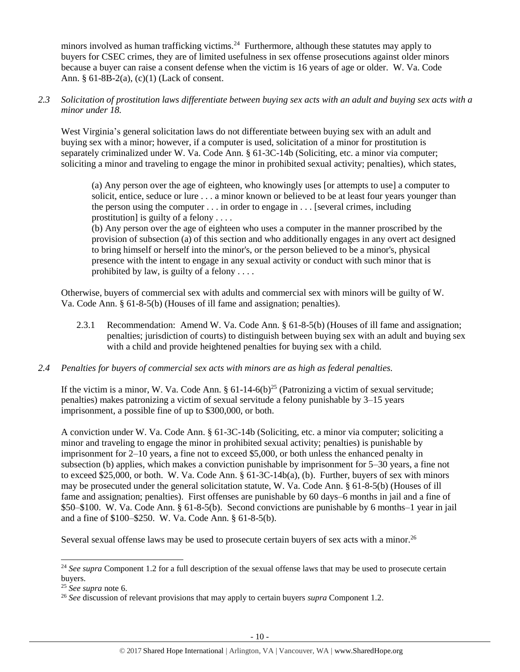minors involved as human trafficking victims.<sup>24</sup> Furthermore, although these statutes may apply to buyers for CSEC crimes, they are of limited usefulness in sex offense prosecutions against older minors because a buyer can raise a consent defense when the victim is 16 years of age or older. W. Va. Code Ann. § 61-8B-2(a), (c)(1) (Lack of consent.

*2.3 Solicitation of prostitution laws differentiate between buying sex acts with an adult and buying sex acts with a minor under 18.*

West Virginia's general solicitation laws do not differentiate between buying sex with an adult and buying sex with a minor; however, if a computer is used, solicitation of a minor for prostitution is separately criminalized under W. Va. Code Ann. § 61-3C-14b (Soliciting, etc. a minor via computer; soliciting a minor and traveling to engage the minor in prohibited sexual activity; penalties), which states,

(a) Any person over the age of eighteen, who knowingly uses [or attempts to use] a computer to solicit, entice, seduce or lure . . . a minor known or believed to be at least four years younger than the person using the computer . . . in order to engage in . . . [several crimes, including prostitution] is guilty of a felony . . . .

(b) Any person over the age of eighteen who uses a computer in the manner proscribed by the provision of subsection (a) of this section and who additionally engages in any overt act designed to bring himself or herself into the minor's, or the person believed to be a minor's, physical presence with the intent to engage in any sexual activity or conduct with such minor that is prohibited by law, is guilty of a felony . . . .

Otherwise, buyers of commercial sex with adults and commercial sex with minors will be guilty of W. Va. Code Ann. § 61-8-5(b) (Houses of ill fame and assignation; penalties).

- 2.3.1 Recommendation: Amend W. Va. Code Ann. § 61-8-5(b) (Houses of ill fame and assignation; penalties; jurisdiction of courts) to distinguish between buying sex with an adult and buying sex with a child and provide heightened penalties for buying sex with a child.
- *2.4 Penalties for buyers of commercial sex acts with minors are as high as federal penalties.*

If the victim is a minor, W. Va. Code Ann.  $\S 61-14-6(b)^{25}$  (Patronizing a victim of sexual servitude; penalties) makes patronizing a victim of sexual servitude a felony punishable by 3–15 years imprisonment, a possible fine of up to \$300,000, or both.

A conviction under W. Va. Code Ann. § 61-3C-14b (Soliciting, etc. a minor via computer; soliciting a minor and traveling to engage the minor in prohibited sexual activity; penalties) is punishable by imprisonment for 2–10 years, a fine not to exceed \$5,000, or both unless the enhanced penalty in subsection (b) applies, which makes a conviction punishable by imprisonment for 5–30 years, a fine not to exceed \$25,000, or both. W. Va. Code Ann. § 61-3C-14b(a), (b). Further, buyers of sex with minors may be prosecuted under the general solicitation statute, W. Va. Code Ann. § 61-8-5(b) (Houses of ill fame and assignation; penalties). First offenses are punishable by 60 days–6 months in jail and a fine of \$50–\$100. W. Va. Code Ann. § 61-8-5(b). Second convictions are punishable by 6 months–1 year in jail and a fine of \$100–\$250. W. Va. Code Ann. § 61-8-5(b).

Several sexual offense laws may be used to prosecute certain buyers of sex acts with a minor.<sup>26</sup>

<sup>&</sup>lt;sup>24</sup> See supra Component 1.2 for a full description of the sexual offense laws that may be used to prosecute certain buyers.

<sup>25</sup> *See supra* note [6.](#page-1-0)

<sup>26</sup> *See* discussion of relevant provisions that may apply to certain buyers *supra* Component [1.2.](#page-1-1)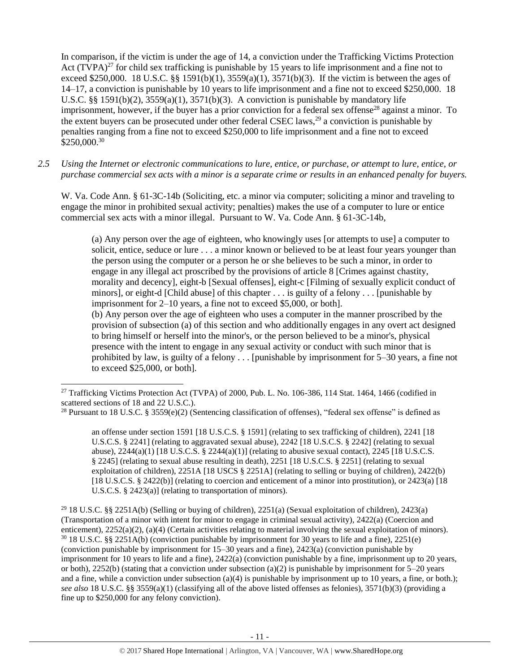<span id="page-10-0"></span>In comparison, if the victim is under the age of 14, a conviction under the Trafficking Victims Protection Act (TVPA)<sup>27</sup> for child sex trafficking is punishable by 15 years to life imprisonment and a fine not to exceed \$250,000. 18 U.S.C. §§ 1591(b)(1),  $3559(a)(1)$ ,  $3571(b)(3)$ . If the victim is between the ages of 14–17, a conviction is punishable by 10 years to life imprisonment and a fine not to exceed \$250,000. 18 U.S.C. §§ 1591(b)(2),  $3559(a)(1)$ ,  $3571(b)(3)$ . A conviction is punishable by mandatory life imprisonment, however, if the buyer has a prior conviction for a federal sex offense<sup>28</sup> against a minor. To the extent buyers can be prosecuted under other federal CSEC laws,<sup>29</sup> a conviction is punishable by penalties ranging from a fine not to exceed \$250,000 to life imprisonment and a fine not to exceed \$250,000.<sup>30</sup>

*2.5 Using the Internet or electronic communications to lure, entice, or purchase, or attempt to lure, entice, or purchase commercial sex acts with a minor is a separate crime or results in an enhanced penalty for buyers.*

W. Va. Code Ann. § 61-3C-14b (Soliciting, etc. a minor via computer; soliciting a minor and traveling to engage the minor in prohibited sexual activity; penalties) makes the use of a computer to lure or entice commercial sex acts with a minor illegal. Pursuant to W. Va. Code Ann. § 61-3C-14b,

<span id="page-10-1"></span>(a) Any person over the age of eighteen, who knowingly uses [or attempts to use] a computer to solicit, entice, seduce or lure . . . a minor known or believed to be at least four years younger than the person using the computer or a person he or she believes to be such a minor, in order to engage in any illegal act proscribed by the provisions of article 8 [Crimes against chastity, morality and decency], eight-b [Sexual offenses], eight-c [Filming of sexually explicit conduct of minors], or eight-d [Child abuse] of this chapter . . . is guilty of a felony . . . [punishable by imprisonment for 2–10 years, a fine not to exceed \$5,000, or both].

(b) Any person over the age of eighteen who uses a computer in the manner proscribed by the provision of subsection (a) of this section and who additionally engages in any overt act designed to bring himself or herself into the minor's, or the person believed to be a minor's, physical presence with the intent to engage in any sexual activity or conduct with such minor that is prohibited by law, is guilty of a felony . . . [punishable by imprisonment for 5–30 years, a fine not to exceed \$25,000, or both].

 $\overline{a}$ 

<sup>29</sup> 18 U.S.C. §§ 2251A(b) (Selling or buying of children), 2251(a) (Sexual exploitation of children), 2423(a) (Transportation of a minor with intent for minor to engage in criminal sexual activity), 2422(a) (Coercion and enticement), 2252(a)(2), (a)(4) (Certain activities relating to material involving the sexual exploitation of minors).  $30\,18$  U.S.C. §§ 2251A(b) (conviction punishable by imprisonment for 30 years to life and a fine), 2251(e) (conviction punishable by imprisonment for 15–30 years and a fine), 2423(a) (conviction punishable by imprisonment for 10 years to life and a fine), 2422(a) (conviction punishable by a fine, imprisonment up to 20 years, or both), 2252(b) (stating that a conviction under subsection (a)(2) is punishable by imprisonment for  $5-20$  years and a fine, while a conviction under subsection  $(a)(4)$  is punishable by imprisonment up to 10 years, a fine, or both.); *see also* 18 U.S.C. §§ 3559(a)(1) (classifying all of the above listed offenses as felonies), 3571(b)(3) (providing a fine up to \$250,000 for any felony conviction).

<sup>&</sup>lt;sup>27</sup> Trafficking Victims Protection Act (TVPA) of 2000, Pub. L. No. 106-386, 114 Stat. 1464, 1466 (codified in scattered sections of 18 and 22 U.S.C.).

<sup>&</sup>lt;sup>28</sup> Pursuant to 18 U.S.C. § 3559(e)(2) (Sentencing classification of offenses), "federal sex offense" is defined as

an offense under section 1591 [18 U.S.C.S. § 1591] (relating to sex trafficking of children), 2241 [18 U.S.C.S. § 2241] (relating to aggravated sexual abuse), 2242 [18 U.S.C.S. § 2242] (relating to sexual abuse),  $2244(a)(1)$  [18 U.S.C.S. §  $2244(a)(1)$ ] (relating to abusive sexual contact),  $2245$  [18 U.S.C.S. § 2245] (relating to sexual abuse resulting in death), 2251 [18 U.S.C.S. § 2251] (relating to sexual exploitation of children), 2251A [18 USCS § 2251A] (relating to selling or buying of children), 2422(b) [18 U.S.C.S. § 2422(b)] (relating to coercion and enticement of a minor into prostitution), or 2423(a) [18 U.S.C.S. § 2423(a)] (relating to transportation of minors).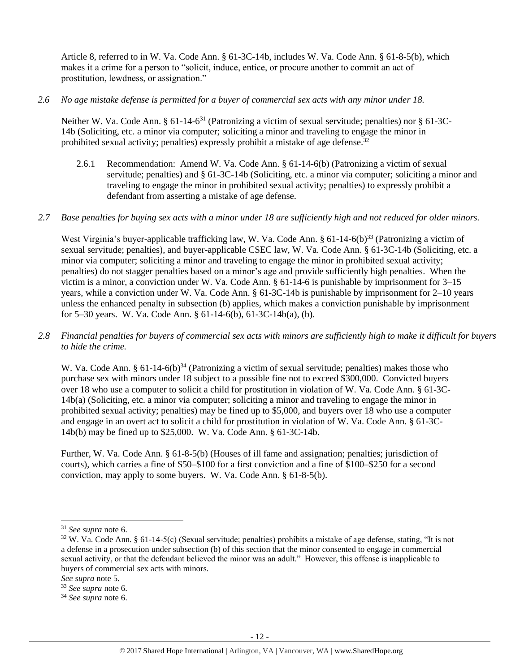Article 8, referred to in W. Va. Code Ann. § 61-3C-14b, includes W. Va. Code Ann. § 61-8-5(b), which makes it a crime for a person to "solicit, induce, entice, or procure another to commit an act of prostitution, lewdness, or assignation."

*2.6 No age mistake defense is permitted for a buyer of commercial sex acts with any minor under 18.*

Neither W. Va. Code Ann. § 61-14-6<sup>31</sup> (Patronizing a victim of sexual servitude; penalties) nor § 61-3C-14b (Soliciting, etc. a minor via computer; soliciting a minor and traveling to engage the minor in prohibited sexual activity; penalties) expressly prohibit a mistake of age defense.<sup>32</sup>

- 2.6.1 Recommendation: Amend W. Va. Code Ann. § 61-14-6(b) (Patronizing a victim of sexual servitude; penalties) and § 61-3C-14b (Soliciting, etc. a minor via computer; soliciting a minor and traveling to engage the minor in prohibited sexual activity; penalties) to expressly prohibit a defendant from asserting a mistake of age defense.
- *2.7 Base penalties for buying sex acts with a minor under 18 are sufficiently high and not reduced for older minors.*

West Virginia's buyer-applicable trafficking law, W. Va. Code Ann. § 61-14-6(b)<sup>33</sup> (Patronizing a victim of sexual servitude; penalties), and buyer-applicable CSEC law, W. Va. Code Ann. § 61-3C-14b (Soliciting, etc. a minor via computer; soliciting a minor and traveling to engage the minor in prohibited sexual activity; penalties) do not stagger penalties based on a minor's age and provide sufficiently high penalties. When the victim is a minor, a conviction under W. Va. Code Ann. § 61-14-6 is punishable by imprisonment for 3–15 years, while a conviction under W. Va. Code Ann. § 61-3C-14b is punishable by imprisonment for 2–10 years unless the enhanced penalty in subsection (b) applies, which makes a conviction punishable by imprisonment for 5–30 years. W. Va. Code Ann. § 61-14-6(b), 61-3C-14b(a), (b).

*2.8 Financial penalties for buyers of commercial sex acts with minors are sufficiently high to make it difficult for buyers to hide the crime.*

W. Va. Code Ann. § 61-14-6(b)<sup>34</sup> (Patronizing a victim of sexual servitude; penalties) makes those who purchase sex with minors under 18 subject to a possible fine not to exceed \$300,000. Convicted buyers over 18 who use a computer to solicit a child for prostitution in violation of W. Va. Code Ann. § 61-3C-14b(a) (Soliciting, etc. a minor via computer; soliciting a minor and traveling to engage the minor in prohibited sexual activity; penalties) may be fined up to \$5,000, and buyers over 18 who use a computer and engage in an overt act to solicit a child for prostitution in violation of W. Va. Code Ann. § 61-3C-14b(b) may be fined up to \$25,000. W. Va. Code Ann. § 61-3C-14b.

Further, W. Va. Code Ann. § 61-8-5(b) (Houses of ill fame and assignation; penalties; jurisdiction of courts), which carries a fine of \$50–\$100 for a first conviction and a fine of \$100–\$250 for a second conviction, may apply to some buyers. W. Va. Code Ann. § 61-8-5(b).

<sup>31</sup> *See supra* note [6.](#page-1-0)

 $32$  W. Va. Code Ann. § 61-14-5(c) (Sexual servitude; penalties) prohibits a mistake of age defense, stating, "It is not a defense in a prosecution under subsection (b) of this section that the minor consented to engage in commercial sexual activity, or that the defendant believed the minor was an adult." However, this offense is inapplicable to buyers of commercial sex acts with minors.

*See supra* note [5.](#page-1-2)

<sup>33</sup> *See supra* note [6.](#page-1-0)

<sup>34</sup> *See supra* note [6.](#page-1-0)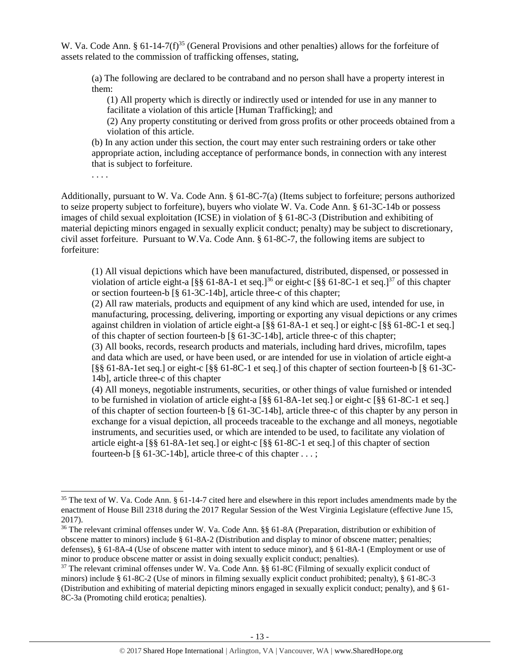W. Va. Code Ann. § 61-14-7(f)<sup>35</sup> (General Provisions and other penalties) allows for the forfeiture of assets related to the commission of trafficking offenses, stating,

(a) The following are declared to be contraband and no person shall have a property interest in them:

<span id="page-12-0"></span>(1) All property which is directly or indirectly used or intended for use in any manner to facilitate a violation of this article [Human Trafficking]; and

(2) Any property constituting or derived from gross profits or other proceeds obtained from a violation of this article.

(b) In any action under this section, the court may enter such restraining orders or take other appropriate action, including acceptance of performance bonds, in connection with any interest that is subject to forfeiture.

. . . .

l

Additionally, pursuant to W. Va. Code Ann. § 61-8C-7(a) (Items subject to forfeiture; persons authorized to seize property subject to forfeiture), buyers who violate W. Va. Code Ann. § 61-3C-14b or possess images of child sexual exploitation (ICSE) in violation of § 61-8C-3 (Distribution and exhibiting of material depicting minors engaged in sexually explicit conduct; penalty) may be subject to discretionary, civil asset forfeiture. Pursuant to W.Va. Code Ann. § 61-8C-7, the following items are subject to forfeiture:

<span id="page-12-2"></span><span id="page-12-1"></span>(1) All visual depictions which have been manufactured, distributed, dispensed, or possessed in violation of article eight-a  $\lceil \S \S 61 - 8A - 1 \rangle$  et seq.]<sup>36</sup> or eight-c  $\lceil \S \S 61 - 8C - 1 \rangle$  et seq.]<sup>37</sup> of this chapter or section fourteen-b [§ 61-3C-14b], article three-c of this chapter;

(2) All raw materials, products and equipment of any kind which are used, intended for use, in manufacturing, processing, delivering, importing or exporting any visual depictions or any crimes against children in violation of article eight-a [§§ 61-8A-1 et seq.] or eight-c [§§ 61-8C-1 et seq.] of this chapter of section fourteen-b [§ 61-3C-14b], article three-c of this chapter;

(3) All books, records, research products and materials, including hard drives, microfilm, tapes and data which are used, or have been used, or are intended for use in violation of article eight-a [§§ 61-8A-1et seq.] or eight-c [§§ 61-8C-1 et seq.] of this chapter of section fourteen-b [§ 61-3C-14b], article three-c of this chapter

(4) All moneys, negotiable instruments, securities, or other things of value furnished or intended to be furnished in violation of article eight-a [§§ 61-8A-1et seq.] or eight-c [§§ 61-8C-1 et seq.] of this chapter of section fourteen-b [§ 61-3C-14b], article three-c of this chapter by any person in exchange for a visual depiction, all proceeds traceable to the exchange and all moneys, negotiable instruments, and securities used, or which are intended to be used, to facilitate any violation of article eight-a [§§ 61-8A-1et seq.] or eight-c [§§ 61-8C-1 et seq.] of this chapter of section fourteen-b  $\lbrack 8 \rbrack 61-3C-14b$ , article three-c of this chapter ...;

 $35$  The text of W. Va. Code Ann. § 61-14-7 cited here and elsewhere in this report includes amendments made by the enactment of House Bill 2318 during the 2017 Regular Session of the West Virginia Legislature (effective June 15, 2017).

<sup>36</sup> The relevant criminal offenses under W. Va. Code Ann. §§ 61-8A (Preparation, distribution or exhibition of obscene matter to minors) include § 61-8A-2 (Distribution and display to minor of obscene matter; penalties; defenses), § 61-8A-4 (Use of obscene matter with intent to seduce minor), and § 61-8A-1 (Employment or use of minor to produce obscene matter or assist in doing sexually explicit conduct; penalties).

<sup>37</sup> The relevant criminal offenses under W. Va. Code Ann. §§ 61-8C (Filming of sexually explicit conduct of minors) include § 61-8C-2 (Use of minors in filming sexually explicit conduct prohibited; penalty), § 61-8C-3 (Distribution and exhibiting of material depicting minors engaged in sexually explicit conduct; penalty), and § 61- 8C-3a (Promoting child erotica; penalties).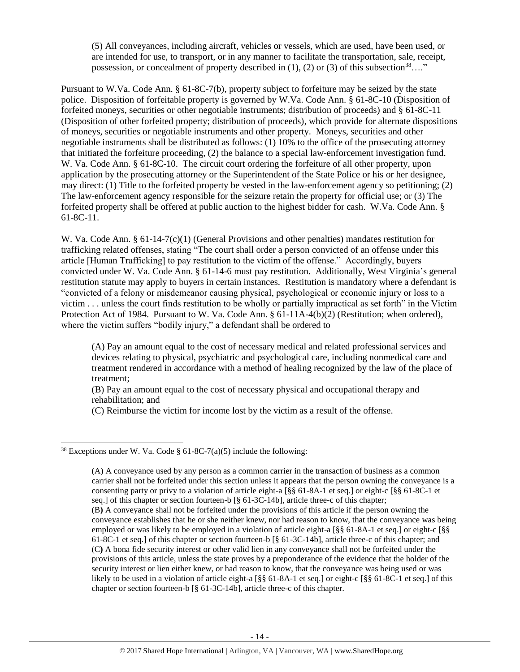<span id="page-13-0"></span>(5) All conveyances, including aircraft, vehicles or vessels, which are used, have been used, or are intended for use, to transport, or in any manner to facilitate the transportation, sale, receipt, possession, or concealment of property described in  $(1)$ ,  $(2)$  or  $(3)$  of this subsection<sup>38</sup>…."

Pursuant to W.Va. Code Ann. § 61-8C-7(b), property subject to forfeiture may be seized by the state police. Disposition of forfeitable property is governed by W.Va. Code Ann. § 61-8C-10 (Disposition of forfeited moneys, securities or other negotiable instruments; distribution of proceeds) and § 61-8C-11 (Disposition of other forfeited property; distribution of proceeds), which provide for alternate dispositions of moneys, securities or negotiable instruments and other property. Moneys, securities and other negotiable instruments shall be distributed as follows: (1) 10% to the office of the prosecuting attorney that initiated the forfeiture proceeding, (2) the balance to a special law-enforcement investigation fund. W. Va. Code Ann. § 61-8C-10. The circuit court ordering the forfeiture of all other property, upon application by the prosecuting attorney or the Superintendent of the State Police or his or her designee, may direct: (1) Title to the forfeited property be vested in the law-enforcement agency so petitioning; (2) The law-enforcement agency responsible for the seizure retain the property for official use; or (3) The forfeited property shall be offered at public auction to the highest bidder for cash. W.Va. Code Ann. § 61-8C-11.

W. Va. Code Ann. § 61-14-7(c)(1) (General Provisions and other penalties) mandates restitution for trafficking related offenses, stating "The court shall order a person convicted of an offense under this article [Human Trafficking] to pay restitution to the victim of the offense." Accordingly, buyers convicted under W. Va. Code Ann. § 61-14-6 must pay restitution. Additionally, West Virginia's general restitution statute may apply to buyers in certain instances. Restitution is mandatory where a defendant is "convicted of a felony or misdemeanor causing physical, psychological or economic injury or loss to a victim . . . unless the court finds restitution to be wholly or partially impractical as set forth" in the Victim Protection Act of 1984. Pursuant to W. Va. Code Ann. § 61-11A-4(b)(2) (Restitution; when ordered), where the victim suffers "bodily injury," a defendant shall be ordered to

(A) Pay an amount equal to the cost of necessary medical and related professional services and devices relating to physical, psychiatric and psychological care, including nonmedical care and treatment rendered in accordance with a method of healing recognized by the law of the place of treatment;

(B) Pay an amount equal to the cost of necessary physical and occupational therapy and rehabilitation; and

(C) Reimburse the victim for income lost by the victim as a result of the offense.

<sup>&</sup>lt;sup>38</sup> Exceptions under W. Va. Code § 61-8C-7(a)(5) include the following:

<sup>(</sup>A) A conveyance used by any person as a common carrier in the transaction of business as a common carrier shall not be forfeited under this section unless it appears that the person owning the conveyance is a consenting party or privy to a violation of article eight-a [§§ 61-8A-1 et seq.] or eight-c [§§ 61-8C-1 et seq.] of this chapter or section fourteen-b [§ 61-3C-14b], article three-c of this chapter; (B**)** A conveyance shall not be forfeited under the provisions of this article if the person owning the conveyance establishes that he or she neither knew, nor had reason to know, that the conveyance was being employed or was likely to be employed in a violation of article eight-a [§§ 61-8A-1 et seq.] or eight-c [§§ 61-8C-1 et seq.] of this chapter or section fourteen-b [§ 61-3C-14b], article three-c of this chapter; and (C**)** A bona fide security interest or other valid lien in any conveyance shall not be forfeited under the provisions of this article, unless the state proves by a preponderance of the evidence that the holder of the security interest or lien either knew, or had reason to know, that the conveyance was being used or was likely to be used in a violation of article eight-a [§§ 61-8A-1 et seq.] or eight-c [§§ 61-8C-1 et seq.] of this chapter or section fourteen-b [§ 61-3C-14b], article three-c of this chapter.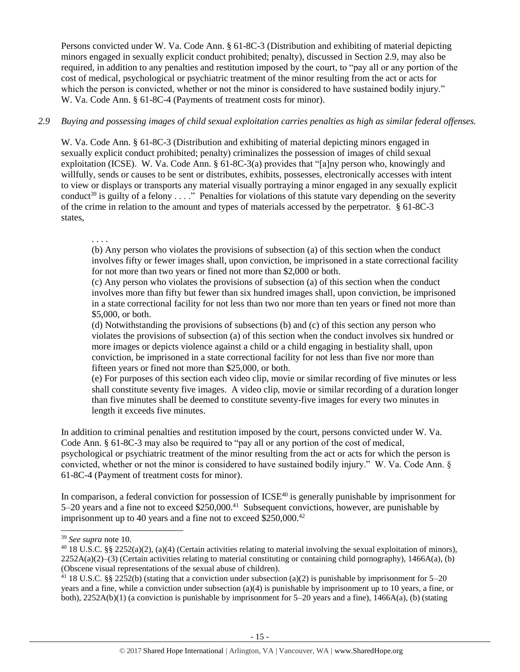Persons convicted under W. Va. Code Ann. § 61-8C-3 (Distribution and exhibiting of material depicting minors engaged in sexually explicit conduct prohibited; penalty), discussed in Section 2.9, may also be required, in addition to any penalties and restitution imposed by the court, to "pay all or any portion of the cost of medical, psychological or psychiatric treatment of the minor resulting from the act or acts for which the person is convicted, whether or not the minor is considered to have sustained bodily injury." W. Va. Code Ann. § 61-8C-4 (Payments of treatment costs for minor).

# *2.9 Buying and possessing images of child sexual exploitation carries penalties as high as similar federal offenses.*

W. Va. Code Ann. § 61-8C-3 (Distribution and exhibiting of material depicting minors engaged in sexually explicit conduct prohibited; penalty) criminalizes the possession of images of child sexual exploitation (ICSE). W. Va. Code Ann. § 61-8C-3(a) provides that "[a]ny person who, knowingly and willfully, sends or causes to be sent or distributes, exhibits, possesses, electronically accesses with intent to view or displays or transports any material visually portraying a minor engaged in any sexually explicit conduct<sup>39</sup> is guilty of a felony  $\dots$ ." Penalties for violations of this statute vary depending on the severity of the crime in relation to the amount and types of materials accessed by the perpetrator. § 61-8C-3 states,

. . . .

(b) Any person who violates the provisions of subsection (a) of this section when the conduct involves fifty or fewer images shall, upon conviction, be imprisoned in a state correctional facility for not more than two years or fined not more than \$2,000 or both.

(c) Any person who violates the provisions of subsection (a) of this section when the conduct involves more than fifty but fewer than six hundred images shall, upon conviction, be imprisoned in a state correctional facility for not less than two nor more than ten years or fined not more than \$5,000, or both.

(d) Notwithstanding the provisions of subsections (b) and (c) of this section any person who violates the provisions of subsection (a) of this section when the conduct involves six hundred or more images or depicts violence against a child or a child engaging in bestiality shall, upon conviction, be imprisoned in a state correctional facility for not less than five nor more than fifteen years or fined not more than \$25,000, or both.

(e) For purposes of this section each video clip, movie or similar recording of five minutes or less shall constitute seventy five images. A video clip, movie or similar recording of a duration longer than five minutes shall be deemed to constitute seventy-five images for every two minutes in length it exceeds five minutes.

In addition to criminal penalties and restitution imposed by the court, persons convicted under W. Va. Code Ann. § 61-8C-3 may also be required to "pay all or any portion of the cost of medical, psychological or psychiatric treatment of the minor resulting from the act or acts for which the person is convicted, whether or not the minor is considered to have sustained bodily injury." W. Va. Code Ann. § 61-8C-4 (Payment of treatment costs for minor).

In comparison, a federal conviction for possession of  $ICSE<sup>40</sup>$  is generally punishable by imprisonment for 5–20 years and a fine not to exceed \$250,000.<sup>41</sup> Subsequent convictions, however, are punishable by imprisonment up to 40 years and a fine not to exceed  $$250,000.<sup>42</sup>$ 

<sup>39</sup> *See supra* note [10.](#page-2-0)

<sup>&</sup>lt;sup>40</sup> 18 U.S.C. §§ 2252(a)(2), (a)(4) (Certain activities relating to material involving the sexual exploitation of minors),  $2252A(a)(2)$ –(3) (Certain activities relating to material constituting or containing child pornography), 1466A(a), (b) (Obscene visual representations of the sexual abuse of children).

<sup>&</sup>lt;sup>41</sup> 18 U.S.C. §§ 2252(b) (stating that a conviction under subsection (a)(2) is punishable by imprisonment for 5–20 years and a fine, while a conviction under subsection (a)(4) is punishable by imprisonment up to 10 years, a fine, or both),  $2252A(b)(1)$  (a conviction is punishable by imprisonment for 5–20 years and a fine),  $1466A(a)$ , (b) (stating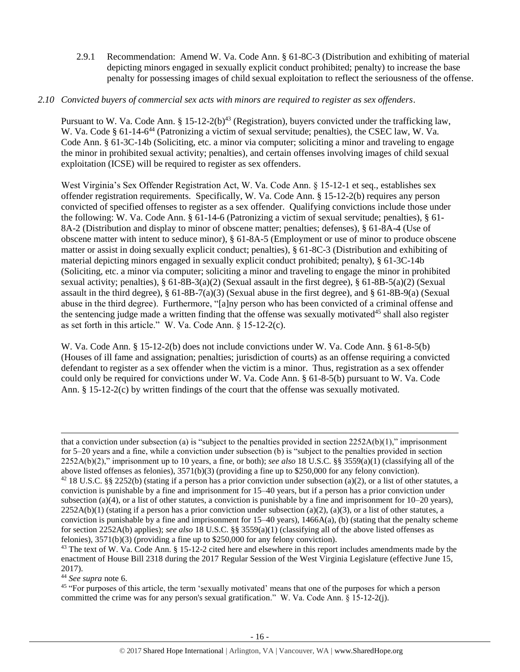<span id="page-15-0"></span>2.9.1 Recommendation: Amend W. Va. Code Ann. § 61-8C-3 (Distribution and exhibiting of material depicting minors engaged in sexually explicit conduct prohibited; penalty) to increase the base penalty for possessing images of child sexual exploitation to reflect the seriousness of the offense.

#### *2.10 Convicted buyers of commercial sex acts with minors are required to register as sex offenders*.

Pursuant to W. Va. Code Ann. § 15-12-2(b)<sup>43</sup> (Registration), buyers convicted under the trafficking law, W. Va. Code § 61-14-6<sup>44</sup> (Patronizing a victim of sexual servitude; penalties), the CSEC law, W. Va. Code Ann. § 61-3C-14b (Soliciting, etc. a minor via computer; soliciting a minor and traveling to engage the minor in prohibited sexual activity; penalties), and certain offenses involving images of child sexual exploitation (ICSE) will be required to register as sex offenders.

West Virginia's Sex Offender Registration Act, W. Va. Code Ann. § 15-12-1 et seq., establishes sex offender registration requirements. Specifically, W. Va. Code Ann. § 15-12-2(b) requires any person convicted of specified offenses to register as a sex offender. Qualifying convictions include those under the following: W. Va. Code Ann. § 61-14-6 (Patronizing a victim of sexual servitude; penalties), § 61- 8A-2 (Distribution and display to minor of obscene matter; penalties; defenses), § 61-8A-4 (Use of obscene matter with intent to seduce minor), § 61-8A-5 (Employment or use of minor to produce obscene matter or assist in doing sexually explicit conduct; penalties), § 61-8C-3 (Distribution and exhibiting of material depicting minors engaged in sexually explicit conduct prohibited; penalty), § 61-3C-14b (Soliciting, etc. a minor via computer; soliciting a minor and traveling to engage the minor in prohibited sexual activity; penalties), § 61-8B-3(a)(2) (Sexual assault in the first degree), § 61-8B-5(a)(2) (Sexual assault in the third degree),  $\S 61-8B-7(a)(3)$  (Sexual abuse in the first degree), and  $\S 61-8B-9(a)$  (Sexual abuse in the third degree). Furthermore, "[a]ny person who has been convicted of a criminal offense and the sentencing judge made a written finding that the offense was sexually motivated<sup>45</sup> shall also register as set forth in this article." W. Va. Code Ann. § 15-12-2(c).

W. Va. Code Ann. § 15-12-2(b) does not include convictions under W. Va. Code Ann. § 61-8-5(b) (Houses of ill fame and assignation; penalties; jurisdiction of courts) as an offense requiring a convicted defendant to register as a sex offender when the victim is a minor. Thus, registration as a sex offender could only be required for convictions under W. Va. Code Ann. § 61-8-5(b) pursuant to W. Va. Code Ann. § 15-12-2(c) by written findings of the court that the offense was sexually motivated.

<sup>44</sup> *See supra* note [6.](#page-1-0)

l

<sup>45</sup> "For purposes of this article, the term 'sexually motivated' means that one of the purposes for which a person committed the crime was for any person's sexual gratification." W. Va. Code Ann. § 15-12-2(j).

that a conviction under subsection (a) is "subject to the penalties provided in section  $2252A(b)(1)$ ," imprisonment for 5–20 years and a fine, while a conviction under subsection (b) is "subject to the penalties provided in section 2252A(b)(2)," imprisonment up to 10 years, a fine, or both); *see also* 18 U.S.C. §§ 3559(a)(1) (classifying all of the above listed offenses as felonies), 3571(b)(3) (providing a fine up to \$250,000 for any felony conviction).

 $42$  18 U.S.C. §§ 2252(b) (stating if a person has a prior conviction under subsection (a)(2), or a list of other statutes, a conviction is punishable by a fine and imprisonment for 15–40 years, but if a person has a prior conviction under subsection (a)(4), or a list of other statutes, a conviction is punishable by a fine and imprisonment for  $10-20$  years),  $2252A(b)(1)$  (stating if a person has a prior conviction under subsection (a)(2), (a)(3), or a list of other statutes, a conviction is punishable by a fine and imprisonment for  $15-40$  years),  $1466A(a)$ , (b) (stating that the penalty scheme for section 2252A(b) applies); *see also* 18 U.S.C. §§ 3559(a)(1) (classifying all of the above listed offenses as felonies), 3571(b)(3) (providing a fine up to \$250,000 for any felony conviction).

<sup>&</sup>lt;sup>43</sup> The text of W. Va. Code Ann. § 15-12-2 cited here and elsewhere in this report includes amendments made by the enactment of House Bill 2318 during the 2017 Regular Session of the West Virginia Legislature (effective June 15, 2017).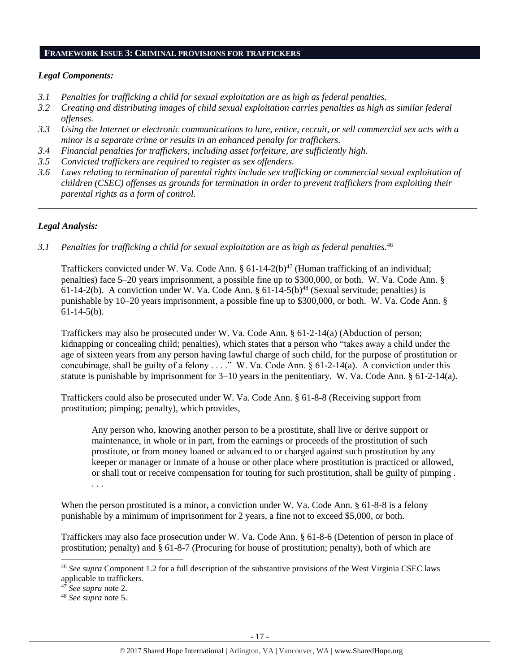#### **FRAMEWORK ISSUE 3: CRIMINAL PROVISIONS FOR TRAFFICKERS**

#### *Legal Components:*

- *3.1 Penalties for trafficking a child for sexual exploitation are as high as federal penalties.*
- *3.2 Creating and distributing images of child sexual exploitation carries penalties as high as similar federal offenses.*
- *3.3 Using the Internet or electronic communications to lure, entice, recruit, or sell commercial sex acts with a minor is a separate crime or results in an enhanced penalty for traffickers.*
- *3.4 Financial penalties for traffickers, including asset forfeiture, are sufficiently high.*
- *3.5 Convicted traffickers are required to register as sex offenders.*
- *3.6 Laws relating to termination of parental rights include sex trafficking or commercial sexual exploitation of children (CSEC) offenses as grounds for termination in order to prevent traffickers from exploiting their parental rights as a form of control.*

*\_\_\_\_\_\_\_\_\_\_\_\_\_\_\_\_\_\_\_\_\_\_\_\_\_\_\_\_\_\_\_\_\_\_\_\_\_\_\_\_\_\_\_\_\_\_\_\_\_\_\_\_\_\_\_\_\_\_\_\_\_\_\_\_\_\_\_\_\_\_\_\_\_\_\_\_\_\_\_\_\_\_\_\_\_\_\_\_\_\_\_\_\_\_*

## *Legal Analysis:*

*3.1 Penalties for trafficking a child for sexual exploitation are as high as federal penalties.*<sup>46</sup>

Traffickers convicted under W. Va. Code Ann.  $\S 61-14-2(b)^{47}$  (Human trafficking of an individual; penalties) face 5–20 years imprisonment, a possible fine up to \$300,000, or both. W. Va. Code Ann. § 61-14-2(b). A conviction under W. Va. Code Ann.  $\S 61-14-5(b)^{48}$  (Sexual servitude; penalties) is punishable by 10–20 years imprisonment, a possible fine up to \$300,000, or both. W. Va. Code Ann. § 61-14-5(b).

Traffickers may also be prosecuted under W. Va. Code Ann. § 61-2-14(a) (Abduction of person; kidnapping or concealing child; penalties), which states that a person who "takes away a child under the age of sixteen years from any person having lawful charge of such child, for the purpose of prostitution or concubinage, shall be guilty of a felony . . . ." W. Va. Code Ann. § 61-2-14(a). A conviction under this statute is punishable by imprisonment for  $3-10$  years in the penitentiary. W. Va. Code Ann. § 61-2-14(a).

Traffickers could also be prosecuted under W. Va. Code Ann. § 61-8-8 (Receiving support from prostitution; pimping; penalty), which provides,

Any person who, knowing another person to be a prostitute, shall live or derive support or maintenance, in whole or in part, from the earnings or proceeds of the prostitution of such prostitute, or from money loaned or advanced to or charged against such prostitution by any keeper or manager or inmate of a house or other place where prostitution is practiced or allowed, or shall tout or receive compensation for touting for such prostitution, shall be guilty of pimping . . . .

When the person prostituted is a minor, a conviction under W. Va. Code Ann. § 61-8-8 is a felony punishable by a minimum of imprisonment for 2 years, a fine not to exceed \$5,000, or both.

Traffickers may also face prosecution under W. Va. Code Ann. § 61-8-6 (Detention of person in place of prostitution; penalty) and § 61-8-7 (Procuring for house of prostitution; penalty), both of which are

<sup>47</sup> *See supra* note 2.

 $\overline{a}$ 

<sup>48</sup> *See supra* note [5.](#page-1-2)

<sup>46</sup> *See supra* Component [1.2](#page-1-1) for a full description of the substantive provisions of the West Virginia CSEC laws applicable to traffickers.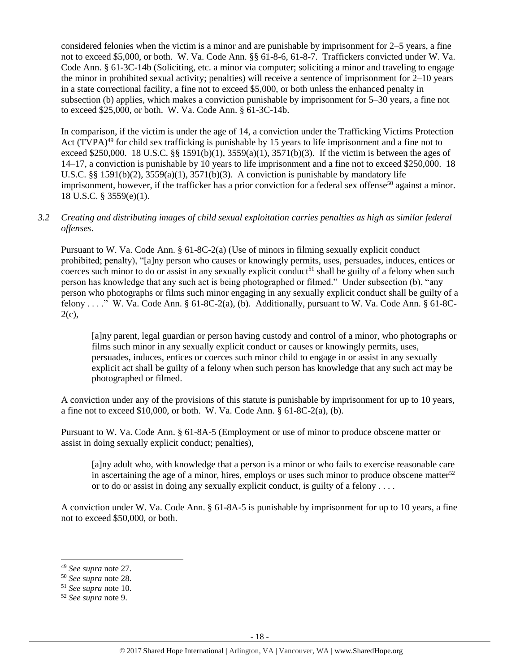considered felonies when the victim is a minor and are punishable by imprisonment for 2–5 years, a fine not to exceed \$5,000, or both. W. Va. Code Ann. §§ 61-8-6, 61-8-7. Traffickers convicted under W. Va. Code Ann. § 61-3C-14b (Soliciting, etc. a minor via computer; soliciting a minor and traveling to engage the minor in prohibited sexual activity; penalties) will receive a sentence of imprisonment for 2–10 years in a state correctional facility, a fine not to exceed \$5,000, or both unless the enhanced penalty in subsection (b) applies, which makes a conviction punishable by imprisonment for 5–30 years, a fine not to exceed \$25,000, or both. W. Va. Code Ann. § 61-3C-14b.

In comparison, if the victim is under the age of 14, a conviction under the Trafficking Victims Protection Act (TVPA)<sup>49</sup> for child sex trafficking is punishable by 15 years to life imprisonment and a fine not to exceed \$250,000. 18 U.S.C. §§ 1591(b)(1),  $3559(a)(1)$ ,  $3571(b)(3)$ . If the victim is between the ages of 14–17, a conviction is punishable by 10 years to life imprisonment and a fine not to exceed \$250,000. 18 U.S.C. §§ 1591(b)(2),  $3559(a)(1)$ ,  $3571(b)(3)$ . A conviction is punishable by mandatory life imprisonment, however, if the trafficker has a prior conviction for a federal sex offense<sup>50</sup> against a minor. 18 U.S.C. § 3559(e)(1).

*3.2 Creating and distributing images of child sexual exploitation carries penalties as high as similar federal offenses*.

Pursuant to W. Va. Code Ann. § 61-8C-2(a) (Use of minors in filming sexually explicit conduct prohibited; penalty), "[a]ny person who causes or knowingly permits, uses, persuades, induces, entices or coerces such minor to do or assist in any sexually explicit conduct<sup>51</sup> shall be guilty of a felony when such person has knowledge that any such act is being photographed or filmed." Under subsection (b), "any person who photographs or films such minor engaging in any sexually explicit conduct shall be guilty of a felony . . . ." W. Va. Code Ann. § 61-8C-2(a), (b). Additionally, pursuant to W. Va. Code Ann. § 61-8C- $2(c)$ ,

[a]ny parent, legal guardian or person having custody and control of a minor, who photographs or films such minor in any sexually explicit conduct or causes or knowingly permits, uses, persuades, induces, entices or coerces such minor child to engage in or assist in any sexually explicit act shall be guilty of a felony when such person has knowledge that any such act may be photographed or filmed.

A conviction under any of the provisions of this statute is punishable by imprisonment for up to 10 years, a fine not to exceed  $$10,000$ , or both. W. Va. Code Ann.  $§ 61-8C-2(a)$ , (b).

Pursuant to W. Va. Code Ann. § 61-8A-5 (Employment or use of minor to produce obscene matter or assist in doing sexually explicit conduct; penalties),

[a]ny adult who, with knowledge that a person is a minor or who fails to exercise reasonable care in ascertaining the age of a minor, hires, employs or uses such minor to produce obscene matter<sup>52</sup> or to do or assist in doing any sexually explicit conduct, is guilty of a felony . . . .

A conviction under W. Va. Code Ann. § 61-8A-5 is punishable by imprisonment for up to 10 years, a fine not to exceed \$50,000, or both.

<sup>49</sup> *See supra* note [27.](#page-10-0) 

<sup>50</sup> *See supra* note [28.](#page-10-1) 

<sup>51</sup> *See supra* note [10.](#page-2-0)

<sup>52</sup> *See supra* note [9.](#page-2-1)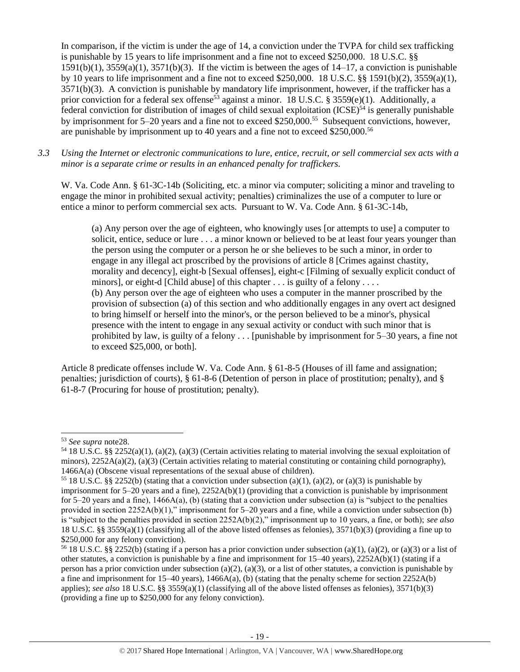In comparison, if the victim is under the age of 14, a conviction under the TVPA for child sex trafficking is punishable by 15 years to life imprisonment and a fine not to exceed \$250,000. 18 U.S.C. §§  $1591(b)(1)$ ,  $3559(a)(1)$ ,  $3571(b)(3)$ . If the victim is between the ages of  $14-17$ , a conviction is punishable by 10 years to life imprisonment and a fine not to exceed \$250,000. 18 U.S.C. §§ 1591(b)(2), 3559(a)(1), 3571(b)(3). A conviction is punishable by mandatory life imprisonment, however, if the trafficker has a prior conviction for a federal sex offense<sup>53</sup> against a minor. 18 U.S.C. § 3559(e)(1). Additionally, a federal conviction for distribution of images of child sexual exploitation  $(ICSE)^{54}$  is generally punishable by imprisonment for 5–20 years and a fine not to exceed \$250,000.<sup>55</sup> Subsequent convictions, however, are punishable by imprisonment up to 40 years and a fine not to exceed \$250,000.<sup>56</sup>

*3.3 Using the Internet or electronic communications to lure, entice, recruit, or sell commercial sex acts with a minor is a separate crime or results in an enhanced penalty for traffickers.*

W. Va. Code Ann. § 61-3C-14b (Soliciting, etc. a minor via computer; soliciting a minor and traveling to engage the minor in prohibited sexual activity; penalties) criminalizes the use of a computer to lure or entice a minor to perform commercial sex acts. Pursuant to W. Va. Code Ann. § 61-3C-14b,

(a) Any person over the age of eighteen, who knowingly uses [or attempts to use] a computer to solicit, entice, seduce or lure . . . a minor known or believed to be at least four years younger than the person using the computer or a person he or she believes to be such a minor, in order to engage in any illegal act proscribed by the provisions of article 8 [Crimes against chastity, morality and decency], eight-b [Sexual offenses], eight-c [Filming of sexually explicit conduct of minors], or eight-d [Child abuse] of this chapter . . . is guilty of a felony . . . . (b) Any person over the age of eighteen who uses a computer in the manner proscribed by the provision of subsection (a) of this section and who additionally engages in any overt act designed to bring himself or herself into the minor's, or the person believed to be a minor's, physical presence with the intent to engage in any sexual activity or conduct with such minor that is prohibited by law, is guilty of a felony . . . [punishable by imprisonment for 5–30 years, a fine not to exceed \$25,000, or both].

Article 8 predicate offenses include W. Va. Code Ann. § 61-8-5 (Houses of ill fame and assignation; penalties; jurisdiction of courts), § 61-8-6 (Detention of person in place of prostitution; penalty), and § 61-8-7 (Procuring for house of prostitution; penalty).

l

<sup>53</sup> *See supra* not[e28.](#page-10-1)

<sup>&</sup>lt;sup>54</sup> 18 U.S.C. §§ 2252(a)(1), (a)(2), (a)(3) (Certain activities relating to material involving the sexual exploitation of minors),  $2252A(a)(2)$ ,  $(a)(3)$  (Certain activities relating to material constituting or containing child pornography), 1466A(a) (Obscene visual representations of the sexual abuse of children).

<sup>&</sup>lt;sup>55</sup> 18 U.S.C. §§ 2252(b) (stating that a conviction under subsection (a)(1), (a)(2), or (a)(3) is punishable by imprisonment for  $5-20$  years and a fine),  $2252A(b)(1)$  (providing that a conviction is punishable by imprisonment for 5–20 years and a fine),  $1466A(a)$ , (b) (stating that a conviction under subsection (a) is "subject to the penalties provided in section  $2252A(b)(1)$ ," imprisonment for 5–20 years and a fine, while a conviction under subsection (b) is "subject to the penalties provided in section 2252A(b)(2)," imprisonment up to 10 years, a fine, or both); *see also*  18 U.S.C. §§ 3559(a)(1) (classifying all of the above listed offenses as felonies), 3571(b)(3) (providing a fine up to \$250,000 for any felony conviction).

<sup>&</sup>lt;sup>56</sup> 18 U.S.C. §§ 2252(b) (stating if a person has a prior conviction under subsection (a)(1), (a)(2), or (a)(3) or a list of other statutes, a conviction is punishable by a fine and imprisonment for 15–40 years), 2252A(b)(1) (stating if a person has a prior conviction under subsection (a)(2), (a)(3), or a list of other statutes, a conviction is punishable by a fine and imprisonment for  $15-40$  years),  $1466A(a)$ , (b) (stating that the penalty scheme for section  $2252A(b)$ applies); *see also* 18 U.S.C. §§ 3559(a)(1) (classifying all of the above listed offenses as felonies), 3571(b)(3) (providing a fine up to \$250,000 for any felony conviction).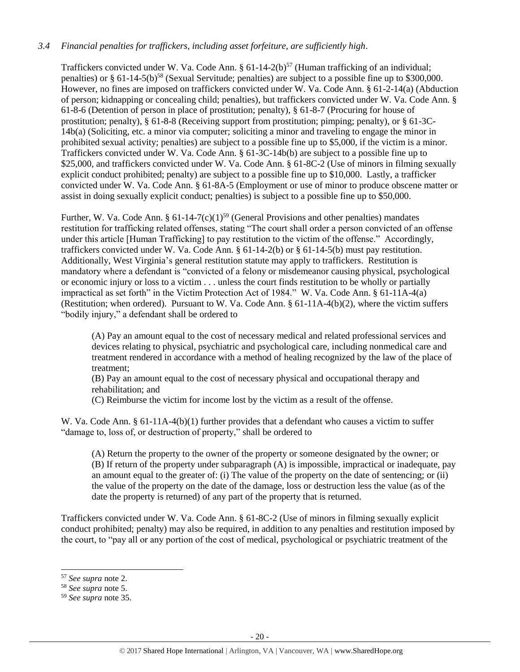## *3.4 Financial penalties for traffickers, including asset forfeiture, are sufficiently high*.

Traffickers convicted under W. Va. Code Ann.  $\S 61-14-2(b)^{57}$  (Human trafficking of an individual; penalties) or § 61-14-5(b)<sup>58</sup> (Sexual Servitude; penalties) are subject to a possible fine up to \$300,000. However, no fines are imposed on traffickers convicted under W. Va. Code Ann. § 61-2-14(a) (Abduction of person; kidnapping or concealing child; penalties), but traffickers convicted under W. Va. Code Ann. § 61-8-6 (Detention of person in place of prostitution; penalty), § 61-8-7 (Procuring for house of prostitution; penalty), § 61-8-8 (Receiving support from prostitution; pimping; penalty), or § 61-3C-14b(a) (Soliciting, etc. a minor via computer; soliciting a minor and traveling to engage the minor in prohibited sexual activity; penalties) are subject to a possible fine up to \$5,000, if the victim is a minor. Traffickers convicted under W. Va. Code Ann. § 61-3C-14b(b) are subject to a possible fine up to \$25,000, and traffickers convicted under W. Va. Code Ann. § 61-8C-2 (Use of minors in filming sexually explicit conduct prohibited; penalty) are subject to a possible fine up to \$10,000. Lastly, a trafficker convicted under W. Va. Code Ann. § 61-8A-5 (Employment or use of minor to produce obscene matter or assist in doing sexually explicit conduct; penalties) is subject to a possible fine up to \$50,000.

Further, W. Va. Code Ann. §  $61-14-7(c)(1)^{59}$  (General Provisions and other penalties) mandates restitution for trafficking related offenses, stating "The court shall order a person convicted of an offense under this article [Human Trafficking] to pay restitution to the victim of the offense." Accordingly, traffickers convicted under W. Va. Code Ann. § 61-14-2(b) or § 61-14-5(b) must pay restitution. Additionally, West Virginia's general restitution statute may apply to traffickers. Restitution is mandatory where a defendant is "convicted of a felony or misdemeanor causing physical, psychological or economic injury or loss to a victim . . . unless the court finds restitution to be wholly or partially impractical as set forth" in the Victim Protection Act of 1984." W. Va. Code Ann. § 61-11A-4(a) (Restitution; when ordered). Pursuant to W. Va. Code Ann. § 61-11A-4(b)(2), where the victim suffers "bodily injury," a defendant shall be ordered to

(A) Pay an amount equal to the cost of necessary medical and related professional services and devices relating to physical, psychiatric and psychological care, including nonmedical care and treatment rendered in accordance with a method of healing recognized by the law of the place of treatment;

(B) Pay an amount equal to the cost of necessary physical and occupational therapy and rehabilitation; and

(C) Reimburse the victim for income lost by the victim as a result of the offense.

W. Va. Code Ann. § 61-11A-4(b)(1) further provides that a defendant who causes a victim to suffer "damage to, loss of, or destruction of property," shall be ordered to

(A) Return the property to the owner of the property or someone designated by the owner; or (B) If return of the property under subparagraph (A) is impossible, impractical or inadequate, pay an amount equal to the greater of: (i) The value of the property on the date of sentencing; or (ii) the value of the property on the date of the damage, loss or destruction less the value (as of the date the property is returned) of any part of the property that is returned.

Traffickers convicted under W. Va. Code Ann. § 61-8C-2 (Use of minors in filming sexually explicit conduct prohibited; penalty) may also be required, in addition to any penalties and restitution imposed by the court, to "pay all or any portion of the cost of medical, psychological or psychiatric treatment of the

l

<sup>57</sup> *See supra* note [2.](#page-0-0)

<sup>58</sup> *See supra* note [5.](#page-1-2)

<sup>59</sup> *See supra* note [35.](#page-12-0)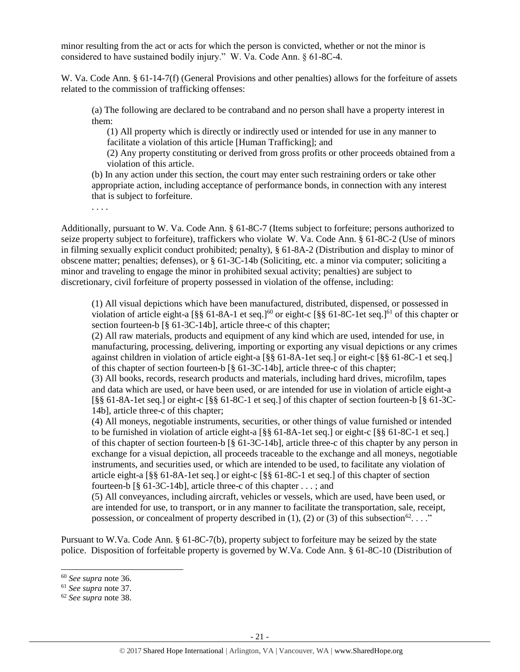minor resulting from the act or acts for which the person is convicted, whether or not the minor is considered to have sustained bodily injury." W. Va. Code Ann. § 61-8C-4.

W. Va. Code Ann. § 61-14-7(f) (General Provisions and other penalties) allows for the forfeiture of assets related to the commission of trafficking offenses:

(a) The following are declared to be contraband and no person shall have a property interest in them:

(1) All property which is directly or indirectly used or intended for use in any manner to facilitate a violation of this article [Human Trafficking]; and

(2) Any property constituting or derived from gross profits or other proceeds obtained from a violation of this article.

(b) In any action under this section, the court may enter such restraining orders or take other appropriate action, including acceptance of performance bonds, in connection with any interest that is subject to forfeiture.

Additionally, pursuant to W. Va. Code Ann. § 61-8C-7 (Items subject to forfeiture; persons authorized to seize property subject to forfeiture), traffickers who violate W. Va. Code Ann. § 61-8C-2 (Use of minors in filming sexually explicit conduct prohibited; penalty), § 61-8A-2 (Distribution and display to minor of obscene matter; penalties; defenses), or § 61-3C-14b (Soliciting, etc. a minor via computer; soliciting a minor and traveling to engage the minor in prohibited sexual activity; penalties) are subject to discretionary, civil forfeiture of property possessed in violation of the offense, including:

(1) All visual depictions which have been manufactured, distributed, dispensed, or possessed in violation of article eight-a  $\lceil \S \S 61 - 8A - 1 \rangle$  et seq.]<sup>60</sup> or eight-c  $\lceil \S \S 61 - 8C - 1 \rangle$  et seq.]<sup>61</sup> of this chapter or section fourteen-b [§ 61-3C-14b], article three-c of this chapter;

(2) All raw materials, products and equipment of any kind which are used, intended for use, in manufacturing, processing, delivering, importing or exporting any visual depictions or any crimes against children in violation of article eight-a [§§ 61-8A-1et seq.] or eight-c [§§ 61-8C-1 et seq.] of this chapter of section fourteen-b [§ 61-3C-14b], article three-c of this chapter;

(3) All books, records, research products and materials, including hard drives, microfilm, tapes and data which are used, or have been used, or are intended for use in violation of article eight-a [§§ 61-8A-1et seq.] or eight-c [§§ 61-8C-1 et seq.] of this chapter of section fourteen-b [§ 61-3C-14b], article three-c of this chapter;

(4) All moneys, negotiable instruments, securities, or other things of value furnished or intended to be furnished in violation of article eight-a [§§ 61-8A-1et seq.] or eight-c [§§ 61-8C-1 et seq.] of this chapter of section fourteen-b [§ 61-3C-14b], article three-c of this chapter by any person in exchange for a visual depiction, all proceeds traceable to the exchange and all moneys, negotiable instruments, and securities used, or which are intended to be used, to facilitate any violation of article eight-a [§§ 61-8A-1et seq.] or eight-c [§§ 61-8C-1 et seq.] of this chapter of section fourteen-b [§ 61-3C-14b], article three-c of this chapter . . . ; and

(5) All conveyances, including aircraft, vehicles or vessels, which are used, have been used, or are intended for use, to transport, or in any manner to facilitate the transportation, sale, receipt, possession, or concealment of property described in (1), (2) or (3) of this subsection<sup>62</sup>. . . ."

Pursuant to W.Va. Code Ann. § 61-8C-7(b), property subject to forfeiture may be seized by the state police. Disposition of forfeitable property is governed by W.Va. Code Ann. § 61-8C-10 (Distribution of

l

. . . .

<sup>60</sup> *See supra* note [36.](#page-12-1) 

<sup>61</sup> *See supra* note [37.](#page-12-2)

<sup>62</sup> *See supra* note [38.](#page-13-0)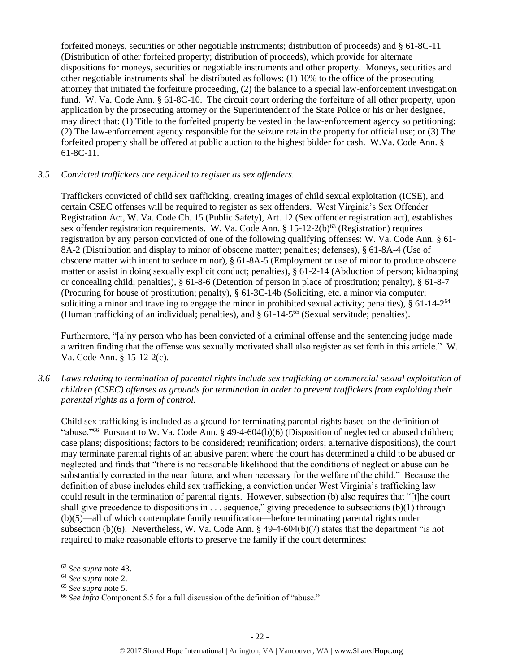forfeited moneys, securities or other negotiable instruments; distribution of proceeds) and § 61-8C-11 (Distribution of other forfeited property; distribution of proceeds), which provide for alternate dispositions for moneys, securities or negotiable instruments and other property. Moneys, securities and other negotiable instruments shall be distributed as follows: (1) 10% to the office of the prosecuting attorney that initiated the forfeiture proceeding, (2) the balance to a special law-enforcement investigation fund. W. Va. Code Ann. § 61-8C-10. The circuit court ordering the forfeiture of all other property, upon application by the prosecuting attorney or the Superintendent of the State Police or his or her designee, may direct that: (1) Title to the forfeited property be vested in the law-enforcement agency so petitioning; (2) The law-enforcement agency responsible for the seizure retain the property for official use; or (3) The forfeited property shall be offered at public auction to the highest bidder for cash. W.Va. Code Ann. § 61-8C-11.

## *3.5 Convicted traffickers are required to register as sex offenders.*

Traffickers convicted of child sex trafficking, creating images of child sexual exploitation (ICSE), and certain CSEC offenses will be required to register as sex offenders. West Virginia's Sex Offender Registration Act, W. Va. Code Ch. 15 (Public Safety), Art. 12 (Sex offender registration act), establishes sex offender registration requirements. W. Va. Code Ann. § 15-12-2(b)<sup>63</sup> (Registration) requires registration by any person convicted of one of the following qualifying offenses: W. Va. Code Ann. § 61- 8A-2 (Distribution and display to minor of obscene matter; penalties; defenses), § 61-8A-4 (Use of obscene matter with intent to seduce minor), § 61-8A-5 (Employment or use of minor to produce obscene matter or assist in doing sexually explicit conduct; penalties), § 61-2-14 (Abduction of person; kidnapping or concealing child; penalties), § 61-8-6 (Detention of person in place of prostitution; penalty), § 61-8-7 (Procuring for house of prostitution; penalty), § 61-3C-14b (Soliciting, etc. a minor via computer; soliciting a minor and traveling to engage the minor in prohibited sexual activity; penalties), § 61-14-2<sup>64</sup> (Human trafficking of an individual; penalties), and § 61-14-5 <sup>65</sup> (Sexual servitude; penalties).

Furthermore, "[a]ny person who has been convicted of a criminal offense and the sentencing judge made a written finding that the offense was sexually motivated shall also register as set forth in this article." W. Va. Code Ann. § 15-12-2(c).

*3.6 Laws relating to termination of parental rights include sex trafficking or commercial sexual exploitation of children (CSEC) offenses as grounds for termination in order to prevent traffickers from exploiting their parental rights as a form of control.* 

Child sex trafficking is included as a ground for terminating parental rights based on the definition of "abuse."<sup>66</sup> Pursuant to W. Va. Code Ann. § 49-4-604(b)(6) (Disposition of neglected or abused children; case plans; dispositions; factors to be considered; reunification; orders; alternative dispositions), the court may terminate parental rights of an abusive parent where the court has determined a child to be abused or neglected and finds that "there is no reasonable likelihood that the conditions of neglect or abuse can be substantially corrected in the near future, and when necessary for the welfare of the child." Because the definition of abuse includes child sex trafficking, a conviction under West Virginia's trafficking law could result in the termination of parental rights. However, subsection (b) also requires that "[t]he court shall give precedence to dispositions in . . . sequence," giving precedence to subsections (b)(1) through (b)(5)—all of which contemplate family reunification—before terminating parental rights under subsection (b)(6). Nevertheless, W. Va. Code Ann. § 49-4-604(b)(7) states that the department "is not required to make reasonable efforts to preserve the family if the court determines:

<sup>63</sup> *See supra* note [43.](#page-15-0)

<sup>64</sup> *See supra* note [2.](#page-0-0)

<sup>65</sup> *See supra* note [5.](#page-1-2)

<sup>&</sup>lt;sup>66</sup> See infra Component 5.5 for a full discussion of the definition of "abuse."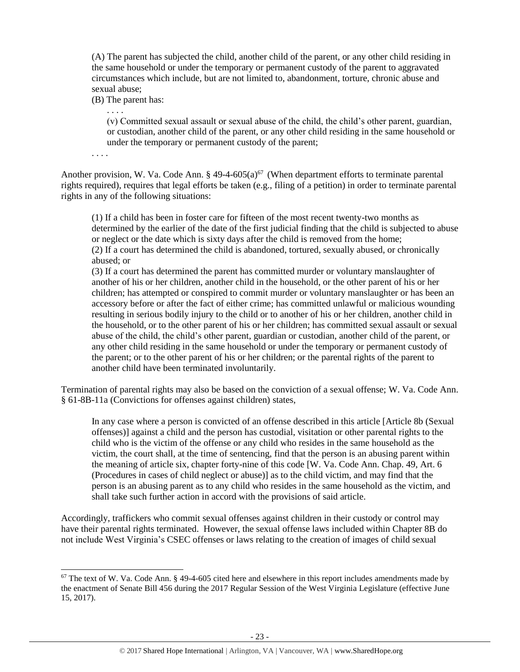(A) The parent has subjected the child, another child of the parent, or any other child residing in the same household or under the temporary or permanent custody of the parent to aggravated circumstances which include, but are not limited to, abandonment, torture, chronic abuse and sexual abuse;

(B) The parent has:

. . . .

(v) Committed sexual assault or sexual abuse of the child, the child's other parent, guardian, or custodian, another child of the parent, or any other child residing in the same household or under the temporary or permanent custody of the parent;

. . . .

l

Another provision, W. Va. Code Ann.  $\S 49-4-605(a)^{67}$  (When department efforts to terminate parental rights required), requires that legal efforts be taken (e.g., filing of a petition) in order to terminate parental rights in any of the following situations:

(1) If a child has been in foster care for fifteen of the most recent twenty-two months as determined by the earlier of the date of the first judicial finding that the child is subjected to abuse or neglect or the date which is sixty days after the child is removed from the home; (2) If a court has determined the child is abandoned, tortured, sexually abused, or chronically abused; or

(3) If a court has determined the parent has committed murder or voluntary manslaughter of another of his or her children, another child in the household, or the other parent of his or her children; has attempted or conspired to commit murder or voluntary manslaughter or has been an accessory before or after the fact of either crime; has committed unlawful or malicious wounding resulting in serious bodily injury to the child or to another of his or her children, another child in the household, or to the other parent of his or her children; has committed sexual assault or sexual abuse of the child, the child's other parent, guardian or custodian, another child of the parent, or any other child residing in the same household or under the temporary or permanent custody of the parent; or to the other parent of his or her children; or the parental rights of the parent to another child have been terminated involuntarily.

Termination of parental rights may also be based on the conviction of a sexual offense; W. Va. Code Ann. § 61-8B-11a (Convictions for offenses against children) states,

In any case where a person is convicted of an offense described in this article [Article 8b (Sexual offenses)] against a child and the person has custodial, visitation or other parental rights to the child who is the victim of the offense or any child who resides in the same household as the victim, the court shall, at the time of sentencing, find that the person is an abusing parent within the meaning of article six, chapter forty-nine of this code [W. Va. Code Ann. Chap. 49, Art. 6 (Procedures in cases of child neglect or abuse)] as to the child victim, and may find that the person is an abusing parent as to any child who resides in the same household as the victim, and shall take such further action in accord with the provisions of said article.

Accordingly, traffickers who commit sexual offenses against children in their custody or control may have their parental rights terminated. However, the sexual offense laws included within Chapter 8B do not include West Virginia's CSEC offenses or laws relating to the creation of images of child sexual

 $67$  The text of W. Va. Code Ann. § 49-4-605 cited here and elsewhere in this report includes amendments made by the enactment of Senate Bill 456 during the 2017 Regular Session of the West Virginia Legislature (effective June 15, 2017).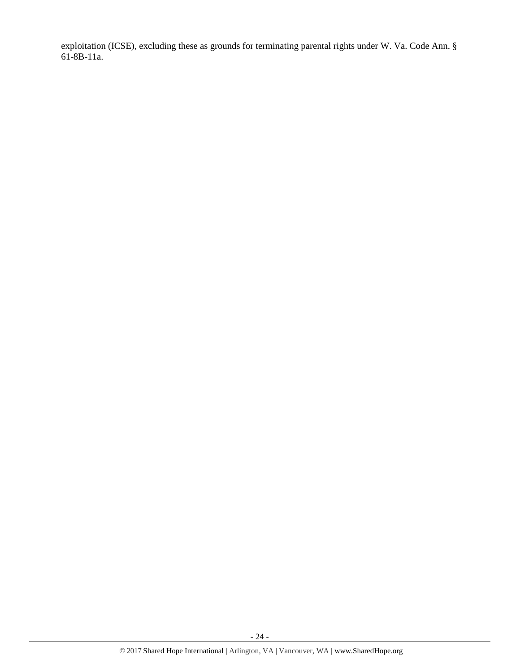exploitation (ICSE), excluding these as grounds for terminating parental rights under W. Va. Code Ann. § 61-8B-11a.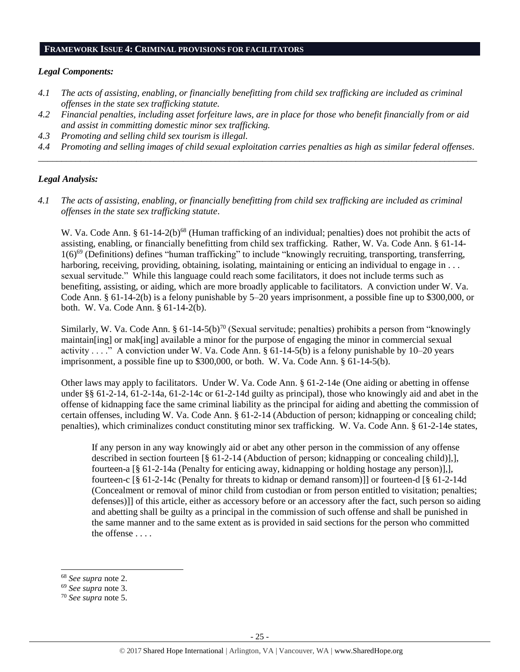## **FRAMEWORK ISSUE 4: CRIMINAL PROVISIONS FOR FACILITATORS**

#### *Legal Components:*

- *4.1 The acts of assisting, enabling, or financially benefitting from child sex trafficking are included as criminal offenses in the state sex trafficking statute.*
- *4.2 Financial penalties, including asset forfeiture laws, are in place for those who benefit financially from or aid and assist in committing domestic minor sex trafficking.*
- *4.3 Promoting and selling child sex tourism is illegal.*
- *4.4 Promoting and selling images of child sexual exploitation carries penalties as high as similar federal offenses. \_\_\_\_\_\_\_\_\_\_\_\_\_\_\_\_\_\_\_\_\_\_\_\_\_\_\_\_\_\_\_\_\_\_\_\_\_\_\_\_\_\_\_\_\_\_\_\_\_\_\_\_\_\_\_\_\_\_\_\_\_\_\_\_\_\_\_\_\_\_\_\_\_\_\_\_\_\_\_\_\_\_\_\_\_\_\_\_\_\_\_\_\_\_*

## *Legal Analysis:*

*4.1 The acts of assisting, enabling, or financially benefitting from child sex trafficking are included as criminal offenses in the state sex trafficking statute*.

W. Va. Code Ann. § 61-14-2(b)<sup>68</sup> (Human trafficking of an individual; penalties) does not prohibit the acts of assisting, enabling, or financially benefitting from child sex trafficking. Rather, W. Va. Code Ann. § 61-14- 1(6)<sup>69</sup> (Definitions) defines "human trafficking" to include "knowingly recruiting, transporting, transferring, harboring, receiving, providing, obtaining, isolating, maintaining or enticing an individual to engage in . . . sexual servitude." While this language could reach some facilitators, it does not include terms such as benefiting, assisting, or aiding, which are more broadly applicable to facilitators. A conviction under W. Va. Code Ann. § 61-14-2(b) is a felony punishable by 5–20 years imprisonment, a possible fine up to \$300,000, or both. W. Va. Code Ann. § 61-14-2(b).

Similarly, W. Va. Code Ann. § 61-14-5(b)<sup>70</sup> (Sexual servitude; penalties) prohibits a person from "knowingly maintain[ing] or mak[ing] available a minor for the purpose of engaging the minor in commercial sexual activity . . . ." A conviction under W. Va. Code Ann.  $\S$  61-14-5(b) is a felony punishable by 10–20 years imprisonment, a possible fine up to \$300,000, or both. W. Va. Code Ann. § 61-14-5(b).

Other laws may apply to facilitators. Under W. Va. Code Ann. § 61-2-14e (One aiding or abetting in offense under §§ 61-2-14, 61-2-14a, 61-2-14c or 61-2-14d guilty as principal), those who knowingly aid and abet in the offense of kidnapping face the same criminal liability as the principal for aiding and abetting the commission of certain offenses, including W. Va. Code Ann. § 61-2-14 (Abduction of person; kidnapping or concealing child; penalties), which criminalizes conduct constituting minor sex trafficking. W. Va. Code Ann. § 61-2-14e states,

If any person in any way knowingly aid or abet any other person in the commission of any offense described in section fourteen [§ 61-2-14 (Abduction of person; kidnapping or concealing child)],], fourteen-a [§ 61-2-14a (Penalty for enticing away, kidnapping or holding hostage any person)],], fourteen-c [§ 61-2-14c (Penalty for threats to kidnap or demand ransom)]] or fourteen-d [§ 61-2-14d (Concealment or removal of minor child from custodian or from person entitled to visitation; penalties; defenses)]] of this article, either as accessory before or an accessory after the fact, such person so aiding and abetting shall be guilty as a principal in the commission of such offense and shall be punished in the same manner and to the same extent as is provided in said sections for the person who committed the offense . . . .

l

<sup>68</sup> *See supra* note [2.](#page-0-0)

<sup>69</sup> *See supra* note [3.](#page-0-1)

<sup>70</sup> *See supra* note [5.](#page-1-2)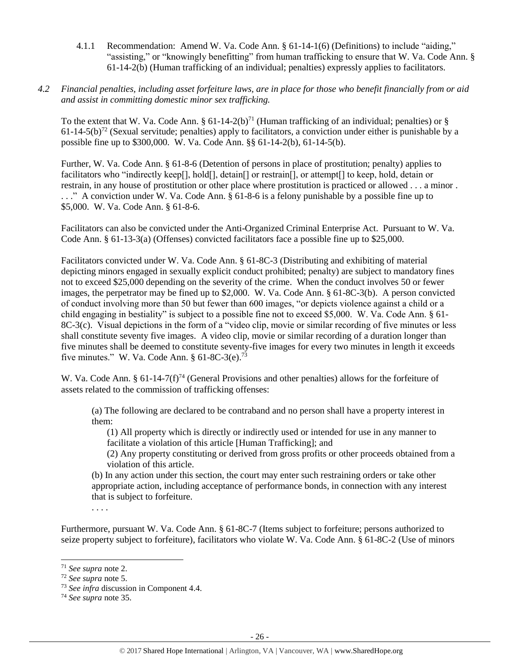- 4.1.1 Recommendation: Amend W. Va. Code Ann. § 61-14-1(6) (Definitions) to include "aiding," "assisting," or "knowingly benefitting" from human trafficking to ensure that W. Va. Code Ann. § 61-14-2(b) (Human trafficking of an individual; penalties) expressly applies to facilitators.
- *4.2 Financial penalties, including asset forfeiture laws, are in place for those who benefit financially from or aid and assist in committing domestic minor sex trafficking.*

To the extent that W. Va. Code Ann.  $\S 61-14-2(b)^{71}$  (Human trafficking of an individual; penalties) or  $\S$  $61-14-5(b)^{72}$  (Sexual servitude; penalties) apply to facilitators, a conviction under either is punishable by a possible fine up to \$300,000. W. Va. Code Ann. §§ 61-14-2(b), 61-14-5(b).

Further, W. Va. Code Ann. § 61-8-6 (Detention of persons in place of prostitution; penalty) applies to facilitators who "indirectly keep[], hold[], detain[] or restrain[], or attempt[] to keep, hold, detain or restrain, in any house of prostitution or other place where prostitution is practiced or allowed . . . a minor . . . ." A conviction under W. Va. Code Ann. § 61-8-6 is a felony punishable by a possible fine up to \$5,000. W. Va. Code Ann. § 61-8-6.

Facilitators can also be convicted under the Anti-Organized Criminal Enterprise Act. Pursuant to W. Va. Code Ann. § 61-13-3(a) (Offenses) convicted facilitators face a possible fine up to \$25,000.

Facilitators convicted under W. Va. Code Ann. § 61-8C-3 (Distributing and exhibiting of material depicting minors engaged in sexually explicit conduct prohibited; penalty) are subject to mandatory fines not to exceed \$25,000 depending on the severity of the crime. When the conduct involves 50 or fewer images, the perpetrator may be fined up to \$2,000. W. Va. Code Ann. § 61-8C-3(b). A person convicted of conduct involving more than 50 but fewer than 600 images, "or depicts violence against a child or a child engaging in bestiality" is subject to a possible fine not to exceed \$5,000. W. Va. Code Ann. § 61- 8C-3(c). Visual depictions in the form of a "video clip, movie or similar recording of five minutes or less shall constitute seventy five images. A video clip, movie or similar recording of a duration longer than five minutes shall be deemed to constitute seventy-five images for every two minutes in length it exceeds five minutes." W. Va. Code Ann.  $§$  61-8C-3(e).<sup>73</sup>

W. Va. Code Ann. §  $61-14-7(f)^{74}$  (General Provisions and other penalties) allows for the forfeiture of assets related to the commission of trafficking offenses:

(a) The following are declared to be contraband and no person shall have a property interest in them:

(1) All property which is directly or indirectly used or intended for use in any manner to facilitate a violation of this article [Human Trafficking]; and

(2) Any property constituting or derived from gross profits or other proceeds obtained from a violation of this article.

(b) In any action under this section, the court may enter such restraining orders or take other appropriate action, including acceptance of performance bonds, in connection with any interest that is subject to forfeiture.

. . . .

Furthermore, pursuant W. Va. Code Ann. § 61-8C-7 (Items subject to forfeiture; persons authorized to seize property subject to forfeiture), facilitators who violate W. Va. Code Ann. § 61-8C-2 (Use of minors

<sup>71</sup> *See supra* note [2.](#page-0-0)

<sup>72</sup> *See supra* note [5.](#page-1-2)

<sup>73</sup> *See infra* discussion in Component 4.4.

<sup>74</sup> *See supra* note [35.](#page-12-0)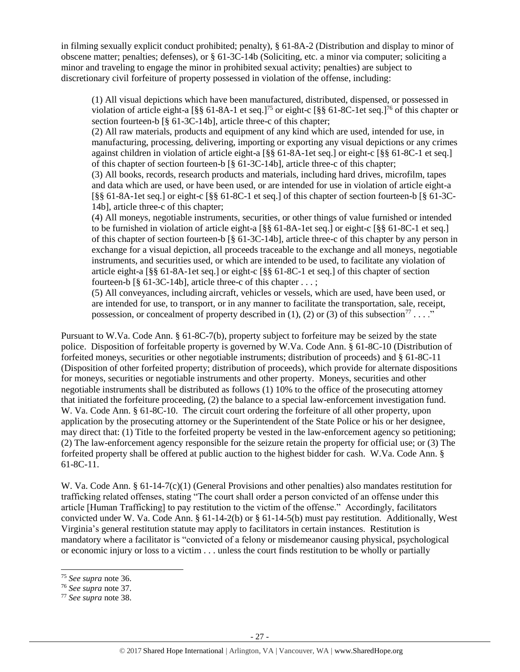in filming sexually explicit conduct prohibited; penalty), § 61-8A-2 (Distribution and display to minor of obscene matter; penalties; defenses), or § 61-3C-14b (Soliciting, etc. a minor via computer; soliciting a minor and traveling to engage the minor in prohibited sexual activity; penalties) are subject to discretionary civil forfeiture of property possessed in violation of the offense, including:

(1) All visual depictions which have been manufactured, distributed, dispensed, or possessed in violation of article eight-a  $\lceil \frac{8}{5} \rceil$  61-8A-1 et seq.]<sup>75</sup> or eight-c  $\lceil \frac{8}{5} \rceil$  61-8C-1 et seq.]<sup>76</sup> of this chapter or section fourteen-b [§ 61-3C-14b], article three-c of this chapter;

(2) All raw materials, products and equipment of any kind which are used, intended for use, in manufacturing, processing, delivering, importing or exporting any visual depictions or any crimes against children in violation of article eight-a [§§ 61-8A-1et seq.] or eight-c [§§ 61-8C-1 et seq.] of this chapter of section fourteen-b [§ 61-3C-14b], article three-c of this chapter;

(3) All books, records, research products and materials, including hard drives, microfilm, tapes and data which are used, or have been used, or are intended for use in violation of article eight-a [§§ 61-8A-1et seq.] or eight-c [§§ 61-8C-1 et seq.] of this chapter of section fourteen-b [§ 61-3C-14b], article three-c of this chapter;

(4) All moneys, negotiable instruments, securities, or other things of value furnished or intended to be furnished in violation of article eight-a [§§ 61-8A-1et seq.] or eight-c [§§ 61-8C-1 et seq.] of this chapter of section fourteen-b [§ 61-3C-14b], article three-c of this chapter by any person in exchange for a visual depiction, all proceeds traceable to the exchange and all moneys, negotiable instruments, and securities used, or which are intended to be used, to facilitate any violation of article eight-a [§§ 61-8A-1et seq.] or eight-c [§§ 61-8C-1 et seq.] of this chapter of section fourteen-b  $\lceil \S$  61-3C-14b], article three-c of this chapter  $\dots$ ;

(5) All conveyances, including aircraft, vehicles or vessels, which are used, have been used, or are intended for use, to transport, or in any manner to facilitate the transportation, sale, receipt, possession, or concealment of property described in (1), (2) or (3) of this subsection<sup>77</sup> . . . ."

Pursuant to W.Va. Code Ann. § 61-8C-7(b), property subject to forfeiture may be seized by the state police. Disposition of forfeitable property is governed by W.Va. Code Ann. § 61-8C-10 (Distribution of forfeited moneys, securities or other negotiable instruments; distribution of proceeds) and § 61-8C-11 (Disposition of other forfeited property; distribution of proceeds), which provide for alternate dispositions for moneys, securities or negotiable instruments and other property. Moneys, securities and other negotiable instruments shall be distributed as follows (1) 10% to the office of the prosecuting attorney that initiated the forfeiture proceeding, (2) the balance to a special law-enforcement investigation fund. W. Va. Code Ann. § 61-8C-10. The circuit court ordering the forfeiture of all other property, upon application by the prosecuting attorney or the Superintendent of the State Police or his or her designee, may direct that: (1) Title to the forfeited property be vested in the law-enforcement agency so petitioning; (2) The law-enforcement agency responsible for the seizure retain the property for official use; or (3) The forfeited property shall be offered at public auction to the highest bidder for cash. W.Va. Code Ann. § 61-8C-11.

W. Va. Code Ann. § 61-14-7(c)(1) (General Provisions and other penalties) also mandates restitution for trafficking related offenses, stating "The court shall order a person convicted of an offense under this article [Human Trafficking] to pay restitution to the victim of the offense." Accordingly, facilitators convicted under W. Va. Code Ann. § 61-14-2(b) or § 61-14-5(b) must pay restitution. Additionally, West Virginia's general restitution statute may apply to facilitators in certain instances. Restitution is mandatory where a facilitator is "convicted of a felony or misdemeanor causing physical, psychological or economic injury or loss to a victim . . . unless the court finds restitution to be wholly or partially

l

<sup>75</sup> *See supra* note [36.](#page-12-1) 

<sup>76</sup> *See supra* note [37.](#page-12-2)

<sup>77</sup> *See supra* note [38.](#page-13-0)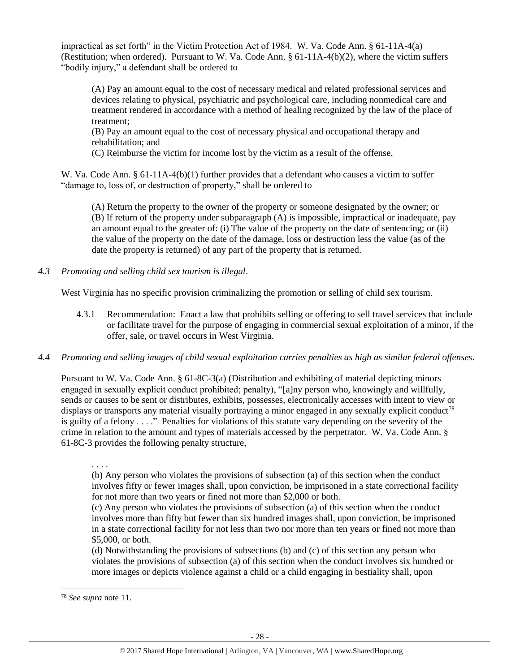impractical as set forth" in the Victim Protection Act of 1984. W. Va. Code Ann. § 61-11A-4(a) (Restitution; when ordered). Pursuant to W. Va. Code Ann. § 61-11A-4(b)(2), where the victim suffers "bodily injury," a defendant shall be ordered to

(A) Pay an amount equal to the cost of necessary medical and related professional services and devices relating to physical, psychiatric and psychological care, including nonmedical care and treatment rendered in accordance with a method of healing recognized by the law of the place of treatment;

(B) Pay an amount equal to the cost of necessary physical and occupational therapy and rehabilitation; and

(C) Reimburse the victim for income lost by the victim as a result of the offense.

W. Va. Code Ann. § 61-11A-4(b)(1) further provides that a defendant who causes a victim to suffer "damage to, loss of, or destruction of property," shall be ordered to

(A) Return the property to the owner of the property or someone designated by the owner; or (B) If return of the property under subparagraph (A) is impossible, impractical or inadequate, pay an amount equal to the greater of: (i) The value of the property on the date of sentencing; or (ii) the value of the property on the date of the damage, loss or destruction less the value (as of the date the property is returned) of any part of the property that is returned.

*4.3 Promoting and selling child sex tourism is illegal*.

West Virginia has no specific provision criminalizing the promotion or selling of child sex tourism.

- 4.3.1 Recommendation: Enact a law that prohibits selling or offering to sell travel services that include or facilitate travel for the purpose of engaging in commercial sexual exploitation of a minor, if the offer, sale, or travel occurs in West Virginia.
- *4.4 Promoting and selling images of child sexual exploitation carries penalties as high as similar federal offenses*.

Pursuant to W. Va. Code Ann. § 61-8C-3(a) (Distribution and exhibiting of material depicting minors engaged in sexually explicit conduct prohibited; penalty), "[a]ny person who, knowingly and willfully, sends or causes to be sent or distributes, exhibits, possesses, electronically accesses with intent to view or displays or transports any material visually portraying a minor engaged in any sexually explicit conduct<sup>78</sup> is guilty of a felony . . . ." Penalties for violations of this statute vary depending on the severity of the crime in relation to the amount and types of materials accessed by the perpetrator. W. Va. Code Ann. § 61-8C-3 provides the following penalty structure,

. . . .

(b) Any person who violates the provisions of subsection (a) of this section when the conduct involves fifty or fewer images shall, upon conviction, be imprisoned in a state correctional facility for not more than two years or fined not more than \$2,000 or both.

(c) Any person who violates the provisions of subsection (a) of this section when the conduct involves more than fifty but fewer than six hundred images shall, upon conviction, be imprisoned in a state correctional facility for not less than two nor more than ten years or fined not more than \$5,000, or both.

(d) Notwithstanding the provisions of subsections (b) and (c) of this section any person who violates the provisions of subsection (a) of this section when the conduct involves six hundred or more images or depicts violence against a child or a child engaging in bestiality shall, upon

<sup>78</sup> *See supra* note [11.](#page-3-0)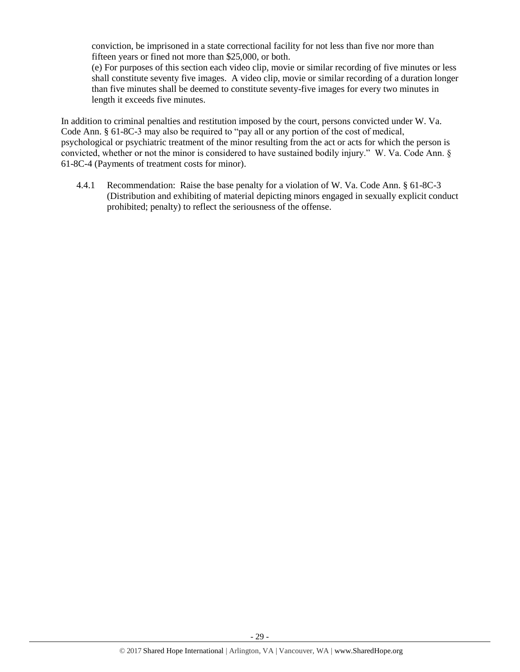conviction, be imprisoned in a state correctional facility for not less than five nor more than fifteen years or fined not more than \$25,000, or both.

(e) For purposes of this section each video clip, movie or similar recording of five minutes or less shall constitute seventy five images. A video clip, movie or similar recording of a duration longer than five minutes shall be deemed to constitute seventy-five images for every two minutes in length it exceeds five minutes.

In addition to criminal penalties and restitution imposed by the court, persons convicted under W. Va. Code Ann. § 61-8C-3 may also be required to "pay all or any portion of the cost of medical, psychological or psychiatric treatment of the minor resulting from the act or acts for which the person is convicted, whether or not the minor is considered to have sustained bodily injury." W. Va. Code Ann. § 61-8C-4 (Payments of treatment costs for minor).

4.4.1 Recommendation: Raise the base penalty for a violation of W. Va. Code Ann. § 61-8C-3 (Distribution and exhibiting of material depicting minors engaged in sexually explicit conduct prohibited; penalty) to reflect the seriousness of the offense.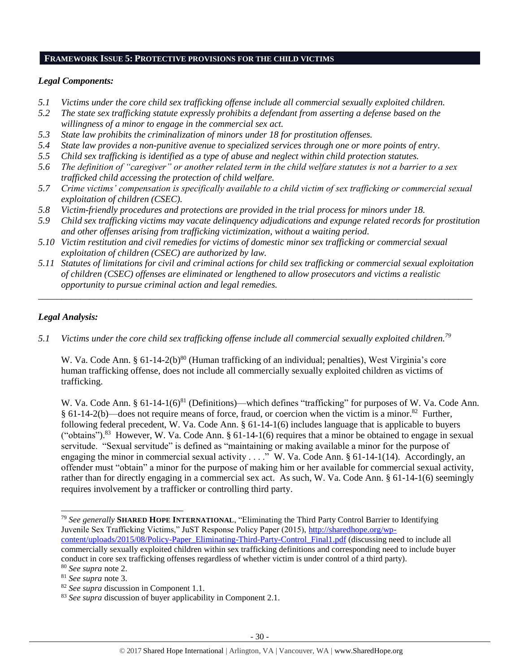#### **FRAMEWORK ISSUE 5: PROTECTIVE PROVISIONS FOR THE CHILD VICTIMS**

## *Legal Components:*

- *5.1 Victims under the core child sex trafficking offense include all commercial sexually exploited children.*
- *5.2 The state sex trafficking statute expressly prohibits a defendant from asserting a defense based on the willingness of a minor to engage in the commercial sex act.*
- *5.3 State law prohibits the criminalization of minors under 18 for prostitution offenses.*
- *5.4 State law provides a non-punitive avenue to specialized services through one or more points of entry.*
- *5.5 Child sex trafficking is identified as a type of abuse and neglect within child protection statutes.*
- *5.6 The definition of "caregiver" or another related term in the child welfare statutes is not a barrier to a sex trafficked child accessing the protection of child welfare.*
- *5.7 Crime victims' compensation is specifically available to a child victim of sex trafficking or commercial sexual exploitation of children (CSEC).*
- *5.8 Victim-friendly procedures and protections are provided in the trial process for minors under 18.*
- *5.9 Child sex trafficking victims may vacate delinquency adjudications and expunge related records for prostitution and other offenses arising from trafficking victimization, without a waiting period.*
- *5.10 Victim restitution and civil remedies for victims of domestic minor sex trafficking or commercial sexual exploitation of children (CSEC) are authorized by law.*
- *5.11 Statutes of limitations for civil and criminal actions for child sex trafficking or commercial sexual exploitation of children (CSEC) offenses are eliminated or lengthened to allow prosecutors and victims a realistic opportunity to pursue criminal action and legal remedies.*

*\_\_\_\_\_\_\_\_\_\_\_\_\_\_\_\_\_\_\_\_\_\_\_\_\_\_\_\_\_\_\_\_\_\_\_\_\_\_\_\_\_\_\_\_\_\_\_\_\_\_\_\_\_\_\_\_\_\_\_\_\_\_\_\_\_\_\_\_\_\_\_\_\_\_\_\_\_\_\_\_\_\_\_\_\_\_\_\_\_\_\_\_\_*

# *Legal Analysis:*

l

*5.1 Victims under the core child sex trafficking offense include all commercial sexually exploited children.<sup>79</sup>* 

W. Va. Code Ann. § 61-14-2(b)<sup>80</sup> (Human trafficking of an individual; penalties), West Virginia's core human trafficking offense, does not include all commercially sexually exploited children as victims of trafficking.

W. Va. Code Ann. § 61-14-1(6)<sup>81</sup> (Definitions)—which defines "trafficking" for purposes of W. Va. Code Ann.  $§ 61-14-2(b)$ —does not require means of force, fraud, or coercion when the victim is a minor.<sup>82</sup> Further, following federal precedent, W. Va. Code Ann. § 61-14-1(6) includes language that is applicable to buyers ("obtains").<sup>83</sup> However, W. Va. Code Ann. § 61-14-1(6) requires that a minor be obtained to engage in sexual servitude. "Sexual servitude" is defined as "maintaining or making available a minor for the purpose of engaging the minor in commercial sexual activity . . . ." W. Va. Code Ann. § 61-14-1(14). Accordingly, an offender must "obtain" a minor for the purpose of making him or her available for commercial sexual activity, rather than for directly engaging in a commercial sex act. As such, W. Va. Code Ann. § 61-14-1(6) seemingly requires involvement by a trafficker or controlling third party.

<sup>79</sup> *See generally* **SHARED HOPE INTERNATIONAL**, "Eliminating the Third Party Control Barrier to Identifying Juvenile Sex Trafficking Victims," JuST Response Policy Paper (2015), [http://sharedhope.org/wp](http://sharedhope.org/wp-content/uploads/2015/08/Policy-Paper_Eliminating-Third-Party-Control_Final1.pdf)[content/uploads/2015/08/Policy-Paper\\_Eliminating-Third-Party-Control\\_Final1.pdf](http://sharedhope.org/wp-content/uploads/2015/08/Policy-Paper_Eliminating-Third-Party-Control_Final1.pdf) (discussing need to include all commercially sexually exploited children within sex trafficking definitions and corresponding need to include buyer

conduct in core sex trafficking offenses regardless of whether victim is under control of a third party).

<sup>80</sup> *See supra* note [2.](#page-0-0)

<sup>81</sup> *See supra* note [3.](#page-0-1)

<sup>82</sup> *See supra* discussion in Component 1.1.

<sup>83</sup> *See supra* discussion of buyer applicability in Component 2.1.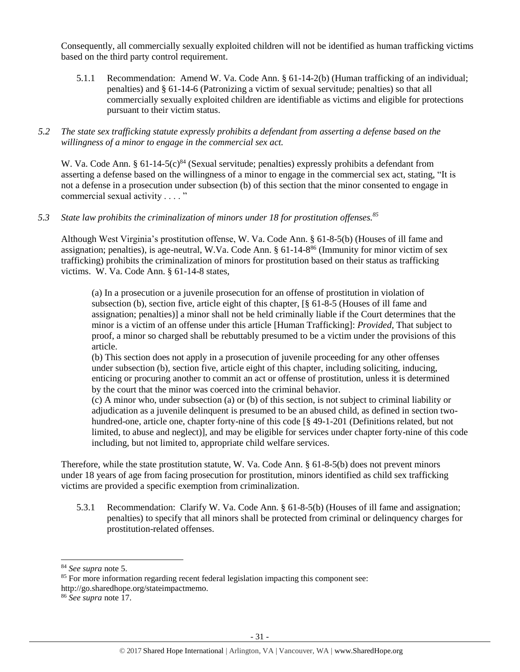Consequently, all commercially sexually exploited children will not be identified as human trafficking victims based on the third party control requirement.

- 5.1.1 Recommendation: Amend W. Va. Code Ann. § 61-14-2(b) (Human trafficking of an individual; penalties) and § 61-14-6 (Patronizing a victim of sexual servitude; penalties) so that all commercially sexually exploited children are identifiable as victims and eligible for protections pursuant to their victim status.
- *5.2 The state sex trafficking statute expressly prohibits a defendant from asserting a defense based on the willingness of a minor to engage in the commercial sex act.*

W. Va. Code Ann. §  $61-14-5(c)^{84}$  (Sexual servitude; penalties) expressly prohibits a defendant from asserting a defense based on the willingness of a minor to engage in the commercial sex act, stating, "It is not a defense in a prosecution under subsection (b) of this section that the minor consented to engage in commercial sexual activity . . . . "

*5.3 State law prohibits the criminalization of minors under 18 for prostitution offenses.<sup>85</sup>*

Although West Virginia's prostitution offense, W. Va. Code Ann. § 61-8-5(b) (Houses of ill fame and assignation; penalties), is age-neutral, W.Va. Code Ann. § 61-14-8<sup>86</sup> (Immunity for minor victim of sex trafficking) prohibits the criminalization of minors for prostitution based on their status as trafficking victims. W. Va. Code Ann. § 61-14-8 states,

(a) In a prosecution or a juvenile prosecution for an offense of prostitution in violation of subsection (b), section five, article eight of this chapter, [§ 61-8-5 (Houses of ill fame and assignation; penalties)] a minor shall not be held criminally liable if the Court determines that the minor is a victim of an offense under this article [Human Trafficking]: *Provided*, That subject to proof, a minor so charged shall be rebuttably presumed to be a victim under the provisions of this article.

(b) This section does not apply in a prosecution of juvenile proceeding for any other offenses under subsection (b), section five, article eight of this chapter, including soliciting, inducing, enticing or procuring another to commit an act or offense of prostitution, unless it is determined by the court that the minor was coerced into the criminal behavior.

(c) A minor who, under subsection (a) or (b) of this section, is not subject to criminal liability or adjudication as a juvenile delinquent is presumed to be an abused child, as defined in section twohundred-one, article one, chapter forty-nine of this code [§ 49-1-201 (Definitions related, but not limited, to abuse and neglect)], and may be eligible for services under chapter forty-nine of this code including, but not limited to, appropriate child welfare services.

Therefore, while the state prostitution statute, W. Va. Code Ann. § 61-8-5(b) does not prevent minors under 18 years of age from facing prosecution for prostitution, minors identified as child sex trafficking victims are provided a specific exemption from criminalization.

5.3.1 Recommendation: Clarify W. Va. Code Ann. § 61-8-5(b) (Houses of ill fame and assignation; penalties) to specify that all minors shall be protected from criminal or delinquency charges for prostitution-related offenses.

<sup>84</sup> *See supra* note [5.](#page-1-2)

<sup>&</sup>lt;sup>85</sup> For more information regarding recent federal legislation impacting this component see:

http://go.sharedhope.org/stateimpactmemo.

<sup>86</sup> *See supra* note [17.](#page-5-0)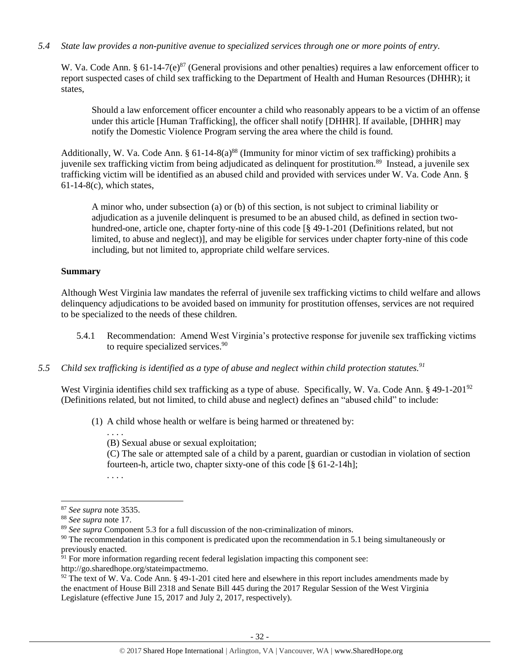## *5.4 State law provides a non-punitive avenue to specialized services through one or more points of entry.*

W. Va. Code Ann. §  $61-14-7(e)^{87}$  (General provisions and other penalties) requires a law enforcement officer to report suspected cases of child sex trafficking to the Department of Health and Human Resources (DHHR); it states,

Should a law enforcement officer encounter a child who reasonably appears to be a victim of an offense under this article [Human Trafficking], the officer shall notify [DHHR]. If available, [DHHR] may notify the Domestic Violence Program serving the area where the child is found.

Additionally, W. Va. Code Ann. §  $61-14-8(a)^{88}$  (Immunity for minor victim of sex trafficking) prohibits a juvenile sex trafficking victim from being adjudicated as delinquent for prostitution.<sup>89</sup> Instead, a juvenile sex trafficking victim will be identified as an abused child and provided with services under W. Va. Code Ann. §  $61-14-8(c)$ , which states,

A minor who, under subsection (a) or (b) of this section, is not subject to criminal liability or adjudication as a juvenile delinquent is presumed to be an abused child, as defined in section twohundred-one, article one, chapter forty-nine of this code [§ 49-1-201 (Definitions related, but not limited, to abuse and neglect)], and may be eligible for services under chapter forty-nine of this code including, but not limited to, appropriate child welfare services.

#### **Summary**

Although West Virginia law mandates the referral of juvenile sex trafficking victims to child welfare and allows delinquency adjudications to be avoided based on immunity for prostitution offenses, services are not required to be specialized to the needs of these children.

- 5.4.1 Recommendation: Amend West Virginia's protective response for juvenile sex trafficking victims to require specialized services.<sup>90</sup>
- *5.5 Child sex trafficking is identified as a type of abuse and neglect within child protection statutes.<sup>91</sup>*

West Virginia identifies child sex trafficking as a type of abuse. Specifically, W. Va. Code Ann. § 49-1-201<sup>92</sup> (Definitions related, but not limited, to child abuse and neglect) defines an "abused child" to include:

(1) A child whose health or welfare is being harmed or threatened by:

(B) Sexual abuse or sexual exploitation;

(C) The sale or attempted sale of a child by a parent, guardian or custodian in violation of section fourteen-h, article two, chapter sixty-one of this code [§ 61-2-14h];

. . . .

. . . .

- $91$  For more information regarding recent federal legislation impacting this component see:
- http://go.sharedhope.org/stateimpactmemo.

<sup>87</sup> *See supra* note 3[535.](#page-12-0)

<sup>88</sup> *See supra* note [17.](#page-5-0)

<sup>89</sup> *See supra* Component 5.3 for a full discussion of the non-criminalization of minors.

<sup>&</sup>lt;sup>90</sup> The recommendation in this component is predicated upon the recommendation in 5.1 being simultaneously or previously enacted.

 $92$  The text of W. Va. Code Ann. § 49-1-201 cited here and elsewhere in this report includes amendments made by the enactment of House Bill 2318 and Senate Bill 445 during the 2017 Regular Session of the West Virginia Legislature (effective June 15, 2017 and July 2, 2017, respectively).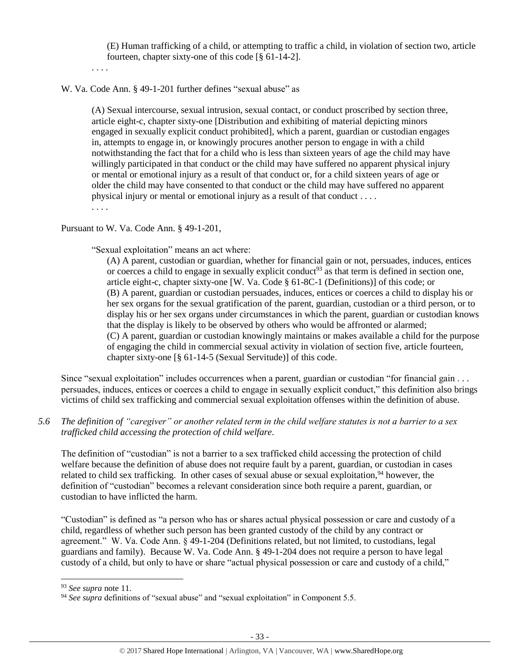(E) Human trafficking of a child, or attempting to traffic a child, in violation of section two, article fourteen, chapter sixty-one of this code [§ 61-14-2].

. . . .

W. Va. Code Ann. § 49-1-201 further defines "sexual abuse" as

(A) Sexual intercourse, sexual intrusion, sexual contact, or conduct proscribed by section three, article eight-c, chapter sixty-one [Distribution and exhibiting of material depicting minors engaged in sexually explicit conduct prohibited], which a parent, guardian or custodian engages in, attempts to engage in, or knowingly procures another person to engage in with a child notwithstanding the fact that for a child who is less than sixteen years of age the child may have willingly participated in that conduct or the child may have suffered no apparent physical injury or mental or emotional injury as a result of that conduct or, for a child sixteen years of age or older the child may have consented to that conduct or the child may have suffered no apparent physical injury or mental or emotional injury as a result of that conduct . . . . . . . .

Pursuant to W. Va. Code Ann. § 49-1-201,

"Sexual exploitation" means an act where:

(A) A parent, custodian or guardian, whether for financial gain or not, persuades, induces, entices or coerces a child to engage in sexually explicit conduct<sup>93</sup> as that term is defined in section one, article eight-c, chapter sixty-one [W. Va. Code § 61-8C-1 (Definitions)] of this code; or (B) A parent, guardian or custodian persuades, induces, entices or coerces a child to display his or her sex organs for the sexual gratification of the parent, guardian, custodian or a third person, or to display his or her sex organs under circumstances in which the parent, guardian or custodian knows that the display is likely to be observed by others who would be affronted or alarmed; (C) A parent, guardian or custodian knowingly maintains or makes available a child for the purpose of engaging the child in commercial sexual activity in violation of section five, article fourteen, chapter sixty-one [§ 61-14-5 (Sexual Servitude)] of this code.

Since "sexual exploitation" includes occurrences when a parent, guardian or custodian "for financial gain . . . persuades, induces, entices or coerces a child to engage in sexually explicit conduct," this definition also brings victims of child sex trafficking and commercial sexual exploitation offenses within the definition of abuse.

*5.6 The definition of "caregiver" or another related term in the child welfare statutes is not a barrier to a sex trafficked child accessing the protection of child welfare.*

The definition of "custodian" is not a barrier to a sex trafficked child accessing the protection of child welfare because the definition of abuse does not require fault by a parent, guardian, or custodian in cases related to child sex trafficking. In other cases of sexual abuse or sexual exploitation,<sup>94</sup> however, the definition of "custodian" becomes a relevant consideration since both require a parent, guardian, or custodian to have inflicted the harm.

"Custodian" is defined as "a person who has or shares actual physical possession or care and custody of a child, regardless of whether such person has been granted custody of the child by any contract or agreement." W. Va. Code Ann. § 49-1-204 (Definitions related, but not limited, to custodians, legal guardians and family). Because W. Va. Code Ann. § 49-1-204 does not require a person to have legal custody of a child, but only to have or share "actual physical possession or care and custody of a child,"

<sup>93</sup> *See supra* note [11.](#page-3-0) 

<sup>&</sup>lt;sup>94</sup> See supra definitions of "sexual abuse" and "sexual exploitation" in Component 5.5.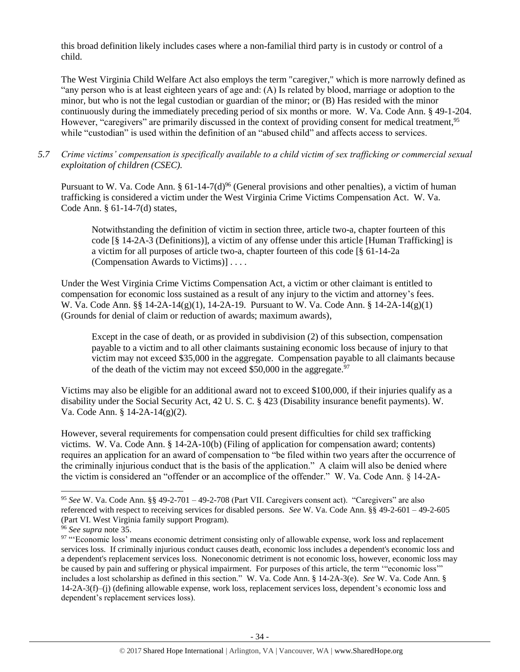this broad definition likely includes cases where a non-familial third party is in custody or control of a child.

The West Virginia Child Welfare Act also employs the term "caregiver," which is more narrowly defined as "any person who is at least eighteen years of age and: (A) Is related by blood, marriage or adoption to the minor, but who is not the legal custodian or guardian of the minor; or (B) Has resided with the minor continuously during the immediately preceding period of six months or more. W. Va. Code Ann. § 49-1-204. However, "caregivers" are primarily discussed in the context of providing consent for medical treatment,<sup>95</sup> while "custodian" is used within the definition of an "abused child" and affects access to services.

## *5.7 Crime victims' compensation is specifically available to a child victim of sex trafficking or commercial sexual exploitation of children (CSEC).*

Pursuant to W. Va. Code Ann. §  $61-14-7(d)^{96}$  (General provisions and other penalties), a victim of human trafficking is considered a victim under the West Virginia Crime Victims Compensation Act. W. Va. Code Ann. § 61-14-7(d) states,

Notwithstanding the definition of victim in section three, article two-a, chapter fourteen of this code [§ 14-2A-3 (Definitions)], a victim of any offense under this article [Human Trafficking] is a victim for all purposes of article two-a, chapter fourteen of this code [§ 61-14-2a (Compensation Awards to Victims)] . . . .

Under the West Virginia Crime Victims Compensation Act, a victim or other claimant is entitled to compensation for economic loss sustained as a result of any injury to the victim and attorney's fees. W. Va. Code Ann. §§ 14-2A-14(g)(1), 14-2A-19. Pursuant to W. Va. Code Ann. § 14-2A-14(g)(1) (Grounds for denial of claim or reduction of awards; maximum awards),

Except in the case of death, or as provided in subdivision (2) of this subsection, compensation payable to a victim and to all other claimants sustaining economic loss because of injury to that victim may not exceed \$35,000 in the aggregate. Compensation payable to all claimants because of the death of the victim may not exceed  $$50,000$  in the aggregate.<sup>97</sup>

Victims may also be eligible for an additional award not to exceed \$100,000, if their injuries qualify as a disability under the Social Security Act, 42 U. S. C. § 423 (Disability insurance benefit payments). W. Va. Code Ann. § 14-2A-14(g)(2).

However, several requirements for compensation could present difficulties for child sex trafficking victims. W. Va. Code Ann. § 14-2A-10(b) (Filing of application for compensation award; contents) requires an application for an award of compensation to "be filed within two years after the occurrence of the criminally injurious conduct that is the basis of the application." A claim will also be denied where the victim is considered an "offender or an accomplice of the offender." W. Va. Code Ann. § 14-2A-

l

<sup>95</sup> *See* W. Va. Code Ann. §§ 49-2-701 – 49-2-708 (Part VII. Caregivers consent act). "Caregivers" are also referenced with respect to receiving services for disabled persons. *See* W. Va. Code Ann. §§ 49-2-601 – 49-2-605 (Part VI. West Virginia family support Program).

<sup>96</sup> *See supra* note [35.](#page-12-0)

<sup>97 &</sup>quot;'Economic loss' means economic detriment consisting only of allowable expense, work loss and replacement services loss. If criminally injurious conduct causes death, economic loss includes a dependent's economic loss and a dependent's replacement services loss. Noneconomic detriment is not economic loss, however, economic loss may be caused by pain and suffering or physical impairment. For purposes of this article, the term '"economic loss'" includes a lost scholarship as defined in this section." W. Va. Code Ann. § 14-2A-3(e). *See* W. Va. Code Ann. § 14-2A-3(f)–(j) (defining allowable expense, work loss, replacement services loss, dependent's economic loss and dependent's replacement services loss).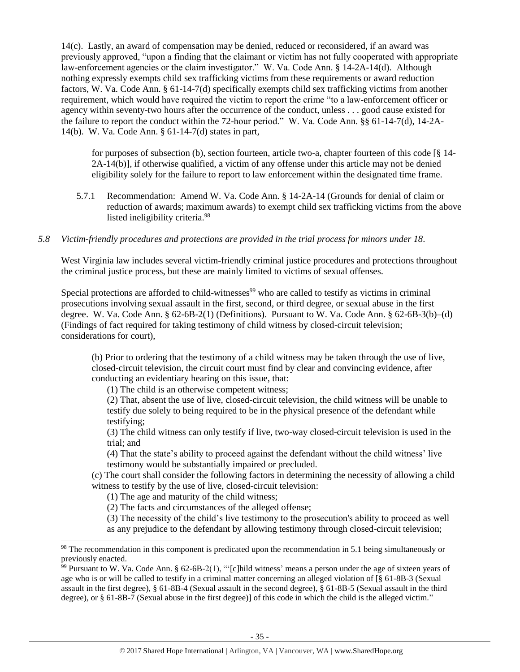14(c). Lastly, an award of compensation may be denied, reduced or reconsidered, if an award was previously approved, "upon a finding that the claimant or victim has not fully cooperated with appropriate law-enforcement agencies or the claim investigator." W. Va. Code Ann. § 14-2A-14(d). Although nothing expressly exempts child sex trafficking victims from these requirements or award reduction factors, W. Va. Code Ann. § 61-14-7(d) specifically exempts child sex trafficking victims from another requirement, which would have required the victim to report the crime "to a law-enforcement officer or agency within seventy-two hours after the occurrence of the conduct, unless . . . good cause existed for the failure to report the conduct within the 72-hour period." W. Va. Code Ann. §§ 61-14-7(d), 14-2A-14(b). W. Va. Code Ann. § 61-14-7(d) states in part,

for purposes of subsection (b), section fourteen, article two-a, chapter fourteen of this code [§ 14- 2A-14(b)], if otherwise qualified, a victim of any offense under this article may not be denied eligibility solely for the failure to report to law enforcement within the designated time frame.

- 5.7.1 Recommendation: Amend W. Va. Code Ann. § 14-2A-14 (Grounds for denial of claim or reduction of awards; maximum awards) to exempt child sex trafficking victims from the above listed ineligibility criteria.<sup>98</sup>
- *5.8 Victim-friendly procedures and protections are provided in the trial process for minors under 18.*

West Virginia law includes several victim-friendly criminal justice procedures and protections throughout the criminal justice process, but these are mainly limited to victims of sexual offenses.

Special protections are afforded to child-witnesses<sup>99</sup> who are called to testify as victims in criminal prosecutions involving sexual assault in the first, second, or third degree, or sexual abuse in the first degree. W. Va. Code Ann. § 62-6B-2(1) (Definitions). Pursuant to W. Va. Code Ann. § 62-6B-3(b)–(d) (Findings of fact required for taking testimony of child witness by closed-circuit television; considerations for court),

(b) Prior to ordering that the testimony of a child witness may be taken through the use of live, closed-circuit television, the circuit court must find by clear and convincing evidence, after conducting an evidentiary hearing on this issue, that:

(1) The child is an otherwise competent witness;

(2) That, absent the use of live, closed-circuit television, the child witness will be unable to testify due solely to being required to be in the physical presence of the defendant while testifying;

(3) The child witness can only testify if live, two-way closed-circuit television is used in the trial; and

(4) That the state's ability to proceed against the defendant without the child witness' live testimony would be substantially impaired or precluded.

(c) The court shall consider the following factors in determining the necessity of allowing a child witness to testify by the use of live, closed-circuit television:

(1) The age and maturity of the child witness;

 $\overline{a}$ 

(2) The facts and circumstances of the alleged offense;

(3) The necessity of the child's live testimony to the prosecution's ability to proceed as well

as any prejudice to the defendant by allowing testimony through closed-circuit television;

<sup>&</sup>lt;sup>98</sup> The recommendation in this component is predicated upon the recommendation in 5.1 being simultaneously or previously enacted.

<sup>&</sup>lt;sup>99</sup> Pursuant to W. Va. Code Ann. § 62-6B-2(1), "'[c]hild witness' means a person under the age of sixteen years of age who is or will be called to testify in a criminal matter concerning an alleged violation of [§ 61-8B-3 (Sexual assault in the first degree), § 61-8B-4 (Sexual assault in the second degree), § 61-8B-5 (Sexual assault in the third degree), or § 61-8B-7 (Sexual abuse in the first degree)] of this code in which the child is the alleged victim."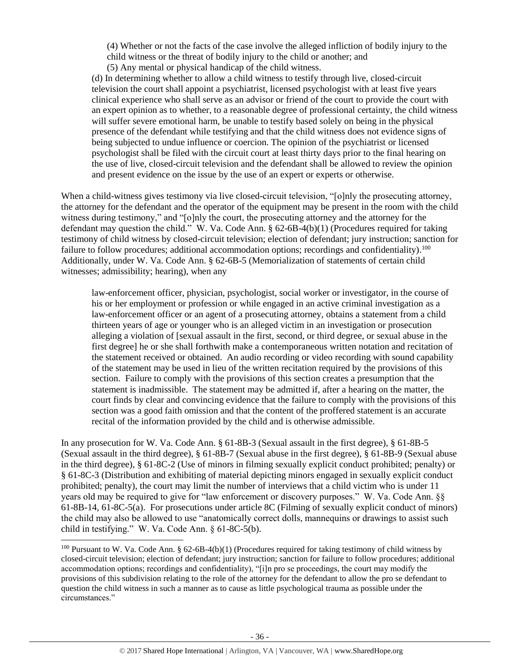(4) Whether or not the facts of the case involve the alleged infliction of bodily injury to the child witness or the threat of bodily injury to the child or another; and

(5) Any mental or physical handicap of the child witness.

(d) In determining whether to allow a child witness to testify through live, closed-circuit television the court shall appoint a psychiatrist, licensed psychologist with at least five years clinical experience who shall serve as an advisor or friend of the court to provide the court with an expert opinion as to whether, to a reasonable degree of professional certainty, the child witness will suffer severe emotional harm, be unable to testify based solely on being in the physical presence of the defendant while testifying and that the child witness does not evidence signs of being subjected to undue influence or coercion. The opinion of the psychiatrist or licensed psychologist shall be filed with the circuit court at least thirty days prior to the final hearing on the use of live, closed-circuit television and the defendant shall be allowed to review the opinion and present evidence on the issue by the use of an expert or experts or otherwise.

When a child-witness gives testimony via live closed-circuit television, "[o]nly the prosecuting attorney, the attorney for the defendant and the operator of the equipment may be present in the room with the child witness during testimony," and "[o]nly the court, the prosecuting attorney and the attorney for the defendant may question the child." W. Va. Code Ann. § 62-6B-4(b)(1) (Procedures required for taking testimony of child witness by closed-circuit television; election of defendant; jury instruction; sanction for failure to follow procedures; additional accommodation options; recordings and confidentiality).<sup>100</sup> Additionally, under W. Va. Code Ann. § 62-6B-5 (Memorialization of statements of certain child witnesses; admissibility; hearing), when any

law-enforcement officer, physician, psychologist, social worker or investigator, in the course of his or her employment or profession or while engaged in an active criminal investigation as a law-enforcement officer or an agent of a prosecuting attorney, obtains a statement from a child thirteen years of age or younger who is an alleged victim in an investigation or prosecution alleging a violation of [sexual assault in the first, second, or third degree, or sexual abuse in the first degree] he or she shall forthwith make a contemporaneous written notation and recitation of the statement received or obtained. An audio recording or video recording with sound capability of the statement may be used in lieu of the written recitation required by the provisions of this section. Failure to comply with the provisions of this section creates a presumption that the statement is inadmissible. The statement may be admitted if, after a hearing on the matter, the court finds by clear and convincing evidence that the failure to comply with the provisions of this section was a good faith omission and that the content of the proffered statement is an accurate recital of the information provided by the child and is otherwise admissible.

In any prosecution for W. Va. Code Ann. § 61-8B-3 (Sexual assault in the first degree), § 61-8B-5 (Sexual assault in the third degree), § 61-8B-7 (Sexual abuse in the first degree), § 61-8B-9 (Sexual abuse in the third degree), § 61-8C-2 (Use of minors in filming sexually explicit conduct prohibited; penalty) or § 61-8C-3 (Distribution and exhibiting of material depicting minors engaged in sexually explicit conduct prohibited; penalty), the court may limit the number of interviews that a child victim who is under 11 years old may be required to give for "law enforcement or discovery purposes." W. Va. Code Ann. §§ 61-8B-14, 61-8C-5(a). For prosecutions under article 8C (Filming of sexually explicit conduct of minors) the child may also be allowed to use "anatomically correct dolls, mannequins or drawings to assist such child in testifying." W. Va. Code Ann. § 61-8C-5(b).

<sup>&</sup>lt;sup>100</sup> Pursuant to W. Va. Code Ann. § 62-6B-4(b)(1) (Procedures required for taking testimony of child witness by closed-circuit television; election of defendant; jury instruction; sanction for failure to follow procedures; additional accommodation options; recordings and confidentiality), "[i]n pro se proceedings, the court may modify the provisions of this subdivision relating to the role of the attorney for the defendant to allow the pro se defendant to question the child witness in such a manner as to cause as little psychological trauma as possible under the circumstances."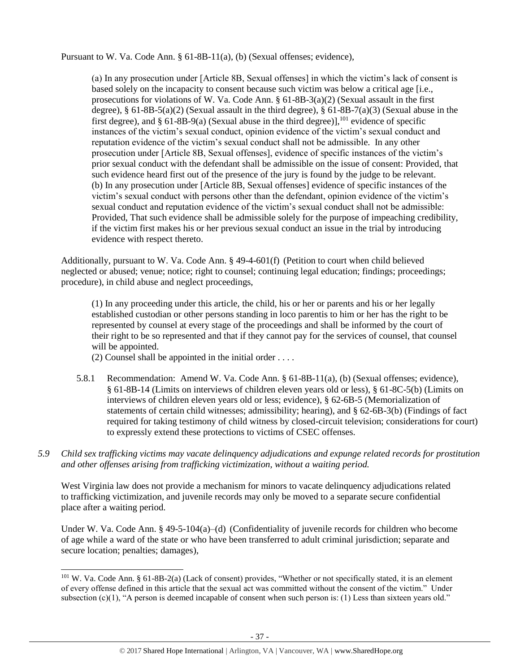Pursuant to W. Va. Code Ann. § 61-8B-11(a), (b) (Sexual offenses; evidence),

(a) In any prosecution under [Article 8B, Sexual offenses] in which the victim's lack of consent is based solely on the incapacity to consent because such victim was below a critical age [i.e., prosecutions for violations of W. Va. Code Ann.  $\S 61-8B-3(a)(2)$  (Sexual assault in the first degree),  $\S 61-8B-5(a)(2)$  (Sexual assault in the third degree),  $\S 61-8B-7(a)(3)$  (Sexual abuse in the first degree), and  $\S$  61-8B-9(a) (Sexual abuse in the third degree)], <sup>101</sup> evidence of specific instances of the victim's sexual conduct, opinion evidence of the victim's sexual conduct and reputation evidence of the victim's sexual conduct shall not be admissible. In any other prosecution under [Article 8B, Sexual offenses], evidence of specific instances of the victim's prior sexual conduct with the defendant shall be admissible on the issue of consent: Provided, that such evidence heard first out of the presence of the jury is found by the judge to be relevant. (b) In any prosecution under [Article 8B, Sexual offenses] evidence of specific instances of the victim's sexual conduct with persons other than the defendant, opinion evidence of the victim's sexual conduct and reputation evidence of the victim's sexual conduct shall not be admissible: Provided, That such evidence shall be admissible solely for the purpose of impeaching credibility, if the victim first makes his or her previous sexual conduct an issue in the trial by introducing evidence with respect thereto.

Additionally, pursuant to W. Va. Code Ann. § 49-4-601(f) (Petition to court when child believed neglected or abused; venue; notice; right to counsel; continuing legal education; findings; proceedings; procedure), in child abuse and neglect proceedings,

(1) In any proceeding under this article, the child, his or her or parents and his or her legally established custodian or other persons standing in loco parentis to him or her has the right to be represented by counsel at every stage of the proceedings and shall be informed by the court of their right to be so represented and that if they cannot pay for the services of counsel, that counsel will be appointed.

(2) Counsel shall be appointed in the initial order . . . .

l

- 5.8.1 Recommendation: Amend W. Va. Code Ann. § 61-8B-11(a), (b) (Sexual offenses; evidence), § 61-8B-14 (Limits on interviews of children eleven years old or less), § 61-8C-5(b) (Limits on interviews of children eleven years old or less; evidence), § 62-6B-5 (Memorialization of statements of certain child witnesses; admissibility; hearing), and § 62-6B-3(b) (Findings of fact required for taking testimony of child witness by closed-circuit television; considerations for court) to expressly extend these protections to victims of CSEC offenses.
- *5.9 Child sex trafficking victims may vacate delinquency adjudications and expunge related records for prostitution and other offenses arising from trafficking victimization, without a waiting period.*

West Virginia law does not provide a mechanism for minors to vacate delinquency adjudications related to trafficking victimization, and juvenile records may only be moved to a separate secure confidential place after a waiting period.

Under W. Va. Code Ann. § 49-5-104(a)–(d) (Confidentiality of juvenile records for children who become of age while a ward of the state or who have been transferred to adult criminal jurisdiction; separate and secure location; penalties; damages),

 $101$  W. Va. Code Ann. § 61-8B-2(a) (Lack of consent) provides, "Whether or not specifically stated, it is an element of every offense defined in this article that the sexual act was committed without the consent of the victim." Under subsection (c)(1), "A person is deemed incapable of consent when such person is: (1) Less than sixteen years old."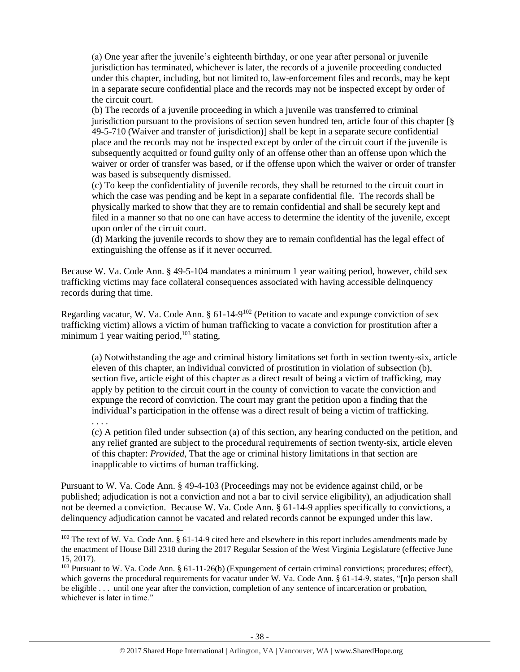(a) One year after the juvenile's eighteenth birthday, or one year after personal or juvenile jurisdiction has terminated, whichever is later, the records of a juvenile proceeding conducted under this chapter, including, but not limited to, law-enforcement files and records, may be kept in a separate secure confidential place and the records may not be inspected except by order of the circuit court.

(b) The records of a juvenile proceeding in which a juvenile was transferred to criminal jurisdiction pursuant to the provisions of section seven hundred ten, article four of this chapter [§ 49-5-710 (Waiver and transfer of jurisdiction)] shall be kept in a separate secure confidential place and the records may not be inspected except by order of the circuit court if the juvenile is subsequently acquitted or found guilty only of an offense other than an offense upon which the waiver or order of transfer was based, or if the offense upon which the waiver or order of transfer was based is subsequently dismissed.

(c) To keep the confidentiality of juvenile records, they shall be returned to the circuit court in which the case was pending and be kept in a separate confidential file. The records shall be physically marked to show that they are to remain confidential and shall be securely kept and filed in a manner so that no one can have access to determine the identity of the juvenile, except upon order of the circuit court.

(d) Marking the juvenile records to show they are to remain confidential has the legal effect of extinguishing the offense as if it never occurred.

Because W. Va. Code Ann. § 49-5-104 mandates a minimum 1 year waiting period, however, child sex trafficking victims may face collateral consequences associated with having accessible delinquency records during that time.

Regarding vacatur, W. Va. Code Ann. § 61-14-9<sup>102</sup> (Petition to vacate and expunge conviction of sex trafficking victim) allows a victim of human trafficking to vacate a conviction for prostitution after a minimum 1 year waiting period,<sup>103</sup> stating,

(a) Notwithstanding the age and criminal history limitations set forth in section twenty-six, article eleven of this chapter, an individual convicted of prostitution in violation of subsection (b), section five, article eight of this chapter as a direct result of being a victim of trafficking, may apply by petition to the circuit court in the county of conviction to vacate the conviction and expunge the record of conviction. The court may grant the petition upon a finding that the individual's participation in the offense was a direct result of being a victim of trafficking.

. . . .

 $\overline{a}$ 

(c) A petition filed under subsection (a) of this section, any hearing conducted on the petition, and any relief granted are subject to the procedural requirements of section twenty-six, article eleven of this chapter: *Provided*, That the age or criminal history limitations in that section are inapplicable to victims of human trafficking.

Pursuant to W. Va. Code Ann. § 49-4-103 (Proceedings may not be evidence against child, or be published; adjudication is not a conviction and not a bar to civil service eligibility), an adjudication shall not be deemed a conviction. Because W. Va. Code Ann. § 61-14-9 applies specifically to convictions, a delinquency adjudication cannot be vacated and related records cannot be expunged under this law.

<sup>&</sup>lt;sup>102</sup> The text of W. Va. Code Ann. § 61-14-9 cited here and elsewhere in this report includes amendments made by the enactment of House Bill 2318 during the 2017 Regular Session of the West Virginia Legislature (effective June 15, 2017).

<sup>&</sup>lt;sup>103</sup> Pursuant to W. Va. Code Ann. § 61-11-26(b) (Expungement of certain criminal convictions; procedures; effect), which governs the procedural requirements for vacatur under W. Va. Code Ann. § 61-14-9, states, "[n]o person shall be eligible . . . until one year after the conviction, completion of any sentence of incarceration or probation, whichever is later in time."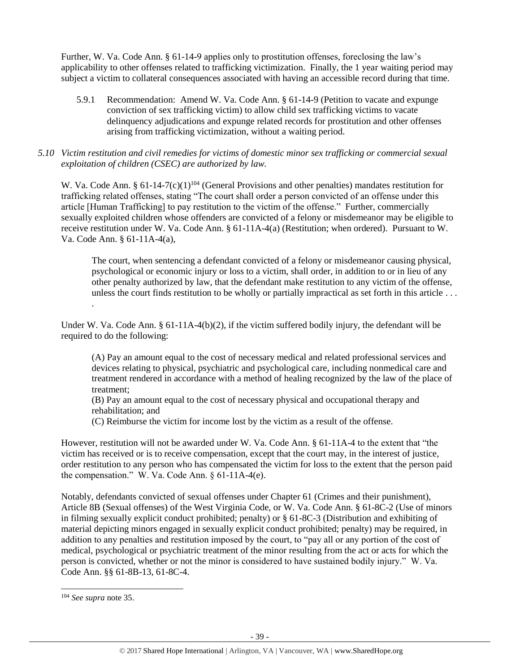Further, W. Va. Code Ann. § 61-14-9 applies only to prostitution offenses, foreclosing the law's applicability to other offenses related to trafficking victimization. Finally, the 1 year waiting period may subject a victim to collateral consequences associated with having an accessible record during that time.

- 5.9.1 Recommendation: Amend W. Va. Code Ann. § 61-14-9 (Petition to vacate and expunge conviction of sex trafficking victim) to allow child sex trafficking victims to vacate delinquency adjudications and expunge related records for prostitution and other offenses arising from trafficking victimization, without a waiting period.
- *5.10 Victim restitution and civil remedies for victims of domestic minor sex trafficking or commercial sexual exploitation of children (CSEC) are authorized by law.*

W. Va. Code Ann. §  $61-14-7(c)(1)^{104}$  (General Provisions and other penalties) mandates restitution for trafficking related offenses, stating "The court shall order a person convicted of an offense under this article [Human Trafficking] to pay restitution to the victim of the offense." Further, commercially sexually exploited children whose offenders are convicted of a felony or misdemeanor may be eligible to receive restitution under W. Va. Code Ann. § 61-11A-4(a) (Restitution; when ordered). Pursuant to W. Va. Code Ann. § 61-11A-4(a),

The court, when sentencing a defendant convicted of a felony or misdemeanor causing physical, psychological or economic injury or loss to a victim, shall order, in addition to or in lieu of any other penalty authorized by law, that the defendant make restitution to any victim of the offense, unless the court finds restitution to be wholly or partially impractical as set forth in this article . . . .

Under W. Va. Code Ann. § 61-11A-4(b)(2), if the victim suffered bodily injury, the defendant will be required to do the following:

(A) Pay an amount equal to the cost of necessary medical and related professional services and devices relating to physical, psychiatric and psychological care, including nonmedical care and treatment rendered in accordance with a method of healing recognized by the law of the place of treatment;

(B) Pay an amount equal to the cost of necessary physical and occupational therapy and rehabilitation; and

(C) Reimburse the victim for income lost by the victim as a result of the offense.

However, restitution will not be awarded under W. Va. Code Ann. § 61-11A-4 to the extent that "the victim has received or is to receive compensation, except that the court may, in the interest of justice, order restitution to any person who has compensated the victim for loss to the extent that the person paid the compensation." W. Va. Code Ann. § 61-11A-4(e).

Notably, defendants convicted of sexual offenses under Chapter 61 (Crimes and their punishment), Article 8B (Sexual offenses) of the West Virginia Code, or W. Va. Code Ann. § 61-8C-2 (Use of minors in filming sexually explicit conduct prohibited; penalty) or § 61-8C-3 (Distribution and exhibiting of material depicting minors engaged in sexually explicit conduct prohibited; penalty) may be required, in addition to any penalties and restitution imposed by the court, to "pay all or any portion of the cost of medical, psychological or psychiatric treatment of the minor resulting from the act or acts for which the person is convicted, whether or not the minor is considered to have sustained bodily injury." W. Va. Code Ann. §§ 61-8B-13, 61-8C-4.

<sup>104</sup> *See supra* not[e 35.](#page-12-0)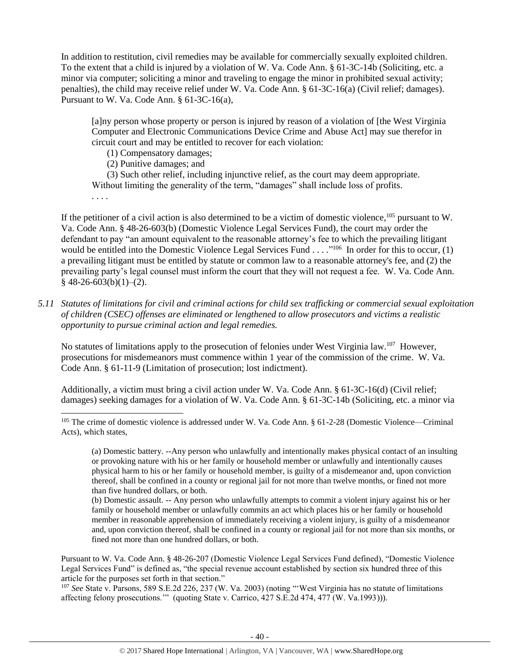In addition to restitution, civil remedies may be available for commercially sexually exploited children. To the extent that a child is injured by a violation of W. Va. Code Ann. § 61-3C-14b (Soliciting, etc. a minor via computer; soliciting a minor and traveling to engage the minor in prohibited sexual activity; penalties), the child may receive relief under W. Va. Code Ann. § 61-3C-16(a) (Civil relief; damages). Pursuant to W. Va. Code Ann. § 61-3C-16(a),

[a]ny person whose property or person is injured by reason of a violation of [the West Virginia Computer and Electronic Communications Device Crime and Abuse Actl may sue therefor in circuit court and may be entitled to recover for each violation:

(1) Compensatory damages;

(2) Punitive damages; and

(3) Such other relief, including injunctive relief, as the court may deem appropriate. Without limiting the generality of the term, "damages" shall include loss of profits.

. . . .

 $\overline{a}$ 

If the petitioner of a civil action is also determined to be a victim of domestic violence,  $^{105}$  pursuant to W. Va. Code Ann. § 48-26-603(b) (Domestic Violence Legal Services Fund), the court may order the defendant to pay "an amount equivalent to the reasonable attorney's fee to which the prevailing litigant would be entitled into the Domestic Violence Legal Services Fund  $\dots$ ."<sup>106</sup> In order for this to occur, (1) a prevailing litigant must be entitled by statute or common law to a reasonable attorney's fee, and (2) the prevailing party's legal counsel must inform the court that they will not request a fee. W. Va. Code Ann.  $§$  48-26-603(b)(1)–(2).

*5.11 Statutes of limitations for civil and criminal actions for child sex trafficking or commercial sexual exploitation of children (CSEC) offenses are eliminated or lengthened to allow prosecutors and victims a realistic opportunity to pursue criminal action and legal remedies.*

No statutes of limitations apply to the prosecution of felonies under West Virginia law.<sup>107</sup> However, prosecutions for misdemeanors must commence within 1 year of the commission of the crime. W. Va. Code Ann. § 61-11-9 (Limitation of prosecution; lost indictment).

Additionally, a victim must bring a civil action under W. Va. Code Ann. § 61-3C-16(d) (Civil relief; damages) seeking damages for a violation of W. Va. Code Ann. § 61-3C-14b (Soliciting, etc. a minor via

Pursuant to W. Va. Code Ann. § 48-26-207 (Domestic Violence Legal Services Fund defined), "Domestic Violence Legal Services Fund" is defined as, "the special revenue account established by section six hundred three of this article for the purposes set forth in that section."

<sup>107</sup> *See* State v. Parsons, 589 S.E.2d 226, 237 (W. Va. 2003) (noting "'West Virginia has no statute of limitations affecting felony prosecutions.'" (quoting State v. Carrico, 427 S.E.2d 474, 477 (W. Va.1993))).

<sup>105</sup> The crime of domestic violence is addressed under W. Va. Code Ann. § 61-2-28 (Domestic Violence—Criminal Acts), which states,

<sup>(</sup>a) Domestic battery. --Any person who unlawfully and intentionally makes physical contact of an insulting or provoking nature with his or her family or household member or unlawfully and intentionally causes physical harm to his or her family or household member, is guilty of a misdemeanor and, upon conviction thereof, shall be confined in a county or regional jail for not more than twelve months, or fined not more than five hundred dollars, or both.

<sup>(</sup>b) Domestic assault. -- Any person who unlawfully attempts to commit a violent injury against his or her family or household member or unlawfully commits an act which places his or her family or household member in reasonable apprehension of immediately receiving a violent injury, is guilty of a misdemeanor and, upon conviction thereof, shall be confined in a county or regional jail for not more than six months, or fined not more than one hundred dollars, or both.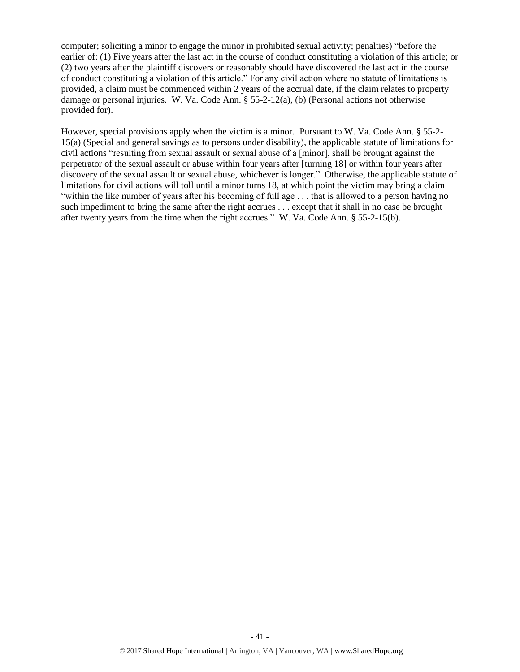computer; soliciting a minor to engage the minor in prohibited sexual activity; penalties) "before the earlier of: (1) Five years after the last act in the course of conduct constituting a violation of this article; or (2) two years after the plaintiff discovers or reasonably should have discovered the last act in the course of conduct constituting a violation of this article." For any civil action where no statute of limitations is provided, a claim must be commenced within 2 years of the accrual date, if the claim relates to property damage or personal injuries. W. Va. Code Ann.  $\S 55-2-12(a)$ , (b) (Personal actions not otherwise provided for).

However, special provisions apply when the victim is a minor. Pursuant to W. Va. Code Ann. § 55-2- 15(a) (Special and general savings as to persons under disability), the applicable statute of limitations for civil actions "resulting from sexual assault or sexual abuse of a [minor], shall be brought against the perpetrator of the sexual assault or abuse within four years after [turning 18] or within four years after discovery of the sexual assault or sexual abuse, whichever is longer." Otherwise, the applicable statute of limitations for civil actions will toll until a minor turns 18, at which point the victim may bring a claim "within the like number of years after his becoming of full age . . . that is allowed to a person having no such impediment to bring the same after the right accrues . . . except that it shall in no case be brought after twenty years from the time when the right accrues." W. Va. Code Ann. § 55-2-15(b).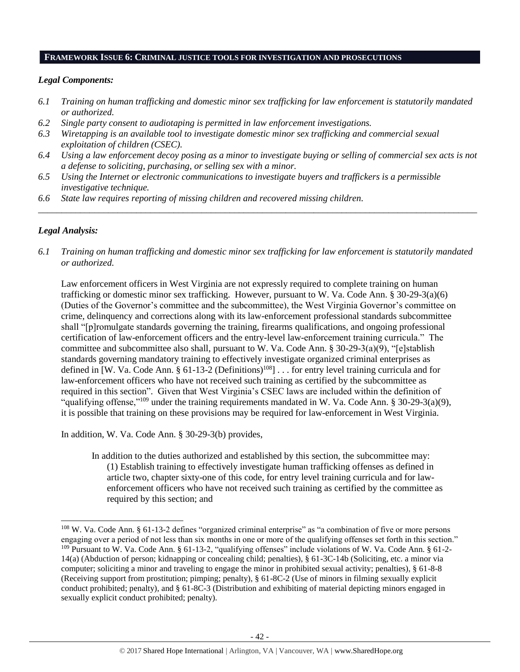#### **FRAMEWORK ISSUE 6: CRIMINAL JUSTICE TOOLS FOR INVESTIGATION AND PROSECUTIONS**

#### *Legal Components:*

- *6.1 Training on human trafficking and domestic minor sex trafficking for law enforcement is statutorily mandated or authorized.*
- *6.2 Single party consent to audiotaping is permitted in law enforcement investigations.*
- *6.3 Wiretapping is an available tool to investigate domestic minor sex trafficking and commercial sexual exploitation of children (CSEC).*
- *6.4 Using a law enforcement decoy posing as a minor to investigate buying or selling of commercial sex acts is not a defense to soliciting, purchasing, or selling sex with a minor.*

*\_\_\_\_\_\_\_\_\_\_\_\_\_\_\_\_\_\_\_\_\_\_\_\_\_\_\_\_\_\_\_\_\_\_\_\_\_\_\_\_\_\_\_\_\_\_\_\_\_\_\_\_\_\_\_\_\_\_\_\_\_\_\_\_\_\_\_\_\_\_\_\_\_\_\_\_\_\_\_\_\_\_\_\_\_\_\_\_\_\_\_\_\_\_*

- *6.5 Using the Internet or electronic communications to investigate buyers and traffickers is a permissible investigative technique.*
- *6.6 State law requires reporting of missing children and recovered missing children.*

#### *Legal Analysis:*

 $\overline{a}$ 

*6.1 Training on human trafficking and domestic minor sex trafficking for law enforcement is statutorily mandated or authorized.*

Law enforcement officers in West Virginia are not expressly required to complete training on human trafficking or domestic minor sex trafficking. However, pursuant to W. Va. Code Ann. § 30-29-3(a)(6) (Duties of the Governor's committee and the subcommittee), the West Virginia Governor's committee on crime, delinquency and corrections along with its law-enforcement professional standards subcommittee shall "[p]romulgate standards governing the training, firearms qualifications, and ongoing professional certification of law-enforcement officers and the entry-level law-enforcement training curricula." The committee and subcommittee also shall, pursuant to W. Va. Code Ann. § 30-29-3(a)(9), "[e]stablish standards governing mandatory training to effectively investigate organized criminal enterprises as defined in [W. Va. Code Ann. § 61-13-2 (Definitions)<sup>108</sup>] . . . for entry level training curricula and for law-enforcement officers who have not received such training as certified by the subcommittee as required in this section". Given that West Virginia's CSEC laws are included within the definition of "qualifying offense,"<sup>109</sup> under the training requirements mandated in W. Va. Code Ann. § 30-29-3(a)(9), it is possible that training on these provisions may be required for law-enforcement in West Virginia.

In addition, W. Va. Code Ann. § 30-29-3(b) provides,

In addition to the duties authorized and established by this section, the subcommittee may: (1) Establish training to effectively investigate human trafficking offenses as defined in article two, chapter sixty-one of this code, for entry level training curricula and for lawenforcement officers who have not received such training as certified by the committee as required by this section; and

<sup>&</sup>lt;sup>108</sup> W. Va. Code Ann. § 61-13-2 defines "organized criminal enterprise" as "a combination of five or more persons engaging over a period of not less than six months in one or more of the qualifying offenses set forth in this section." <sup>109</sup> Pursuant to W. Va. Code Ann. § 61-13-2, "qualifying offenses" include violations of W. Va. Code Ann. § 61-2- 14(a) (Abduction of person; kidnapping or concealing child; penalties), § 61-3C-14b (Soliciting, etc. a minor via computer; soliciting a minor and traveling to engage the minor in prohibited sexual activity; penalties), § 61-8-8 (Receiving support from prostitution; pimping; penalty), § 61-8C-2 (Use of minors in filming sexually explicit conduct prohibited; penalty), and § 61-8C-3 (Distribution and exhibiting of material depicting minors engaged in sexually explicit conduct prohibited; penalty).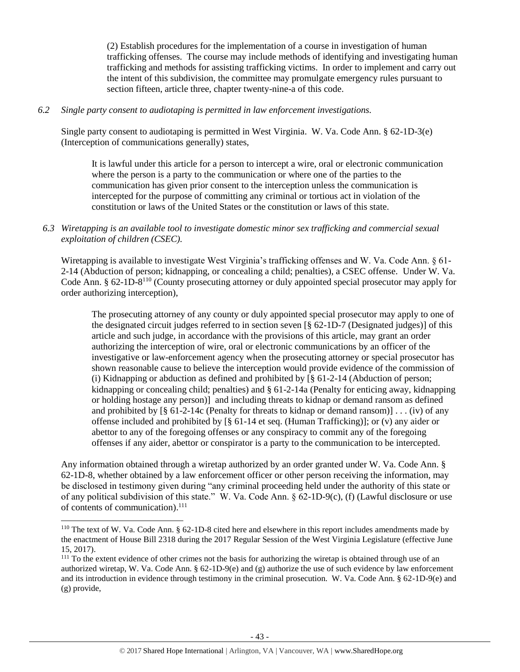(2) Establish procedures for the implementation of a course in investigation of human trafficking offenses. The course may include methods of identifying and investigating human trafficking and methods for assisting trafficking victims. In order to implement and carry out the intent of this subdivision, the committee may promulgate emergency rules pursuant to section fifteen, article three, chapter twenty-nine-a of this code.

## *6.2 Single party consent to audiotaping is permitted in law enforcement investigations.*

Single party consent to audiotaping is permitted in West Virginia. W. Va. Code Ann. § 62-1D-3(e) (Interception of communications generally) states,

It is lawful under this article for a person to intercept a wire, oral or electronic communication where the person is a party to the communication or where one of the parties to the communication has given prior consent to the interception unless the communication is intercepted for the purpose of committing any criminal or tortious act in violation of the constitution or laws of the United States or the constitution or laws of this state.

## *6.3 Wiretapping is an available tool to investigate domestic minor sex trafficking and commercial sexual exploitation of children (CSEC).*

Wiretapping is available to investigate West Virginia's trafficking offenses and W. Va. Code Ann. § 61- 2-14 (Abduction of person; kidnapping, or concealing a child; penalties), a CSEC offense. Under W. Va. Code Ann. § 62-1D-8<sup>110</sup> (County prosecuting attorney or duly appointed special prosecutor may apply for order authorizing interception),

The prosecuting attorney of any county or duly appointed special prosecutor may apply to one of the designated circuit judges referred to in section seven [§ 62-1D-7 (Designated judges)] of this article and such judge, in accordance with the provisions of this article, may grant an order authorizing the interception of wire, oral or electronic communications by an officer of the investigative or law-enforcement agency when the prosecuting attorney or special prosecutor has shown reasonable cause to believe the interception would provide evidence of the commission of (i) Kidnapping or abduction as defined and prohibited by  $\lceil \xi \rceil$  61-2-14 (Abduction of person; kidnapping or concealing child; penalties) and § 61-2-14a (Penalty for enticing away, kidnapping or holding hostage any person)] and including threats to kidnap or demand ransom as defined and prohibited by  $\lceil \frac{8}{9} 61 - 2 - 14c \rceil$  (Penalty for threats to kidnap or demand ransom)] . . . (iv) of any offense included and prohibited by  $\lceil \frac{6}{5} 61 - 14 \rceil$  et seq. (Human Trafficking)]; or (v) any aider or abettor to any of the foregoing offenses or any conspiracy to commit any of the foregoing offenses if any aider, abettor or conspirator is a party to the communication to be intercepted.

Any information obtained through a wiretap authorized by an order granted under W. Va. Code Ann. § 62-1D-8, whether obtained by a law enforcement officer or other person receiving the information, may be disclosed in testimony given during "any criminal proceeding held under the authority of this state or of any political subdivision of this state." W. Va. Code Ann. § 62-1D-9(c), (f) (Lawful disclosure or use of contents of communication). 111

<sup>110</sup> The text of W. Va. Code Ann. § 62-1D-8 cited here and elsewhere in this report includes amendments made by the enactment of House Bill 2318 during the 2017 Regular Session of the West Virginia Legislature (effective June 15, 2017).

<sup>&</sup>lt;sup>111</sup> To the extent evidence of other crimes not the basis for authorizing the wiretap is obtained through use of an authorized wiretap, W. Va. Code Ann. § 62-1D-9(e) and (g) authorize the use of such evidence by law enforcement and its introduction in evidence through testimony in the criminal prosecution. W. Va. Code Ann. § 62-1D-9(e) and (g) provide,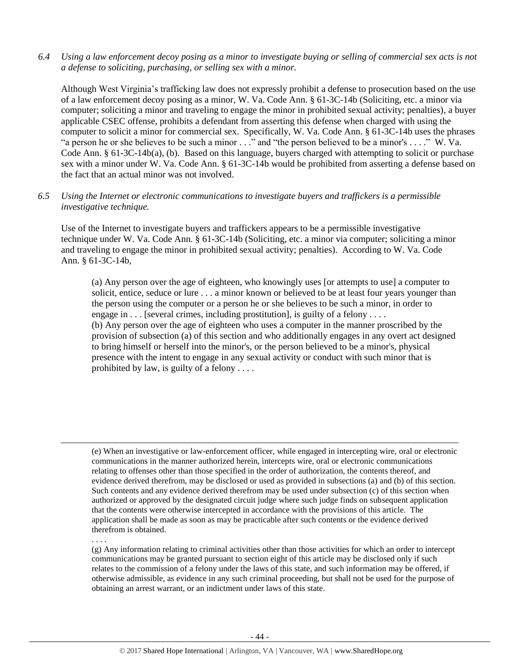*6.4 Using a law enforcement decoy posing as a minor to investigate buying or selling of commercial sex acts is not a defense to soliciting, purchasing, or selling sex with a minor.*

Although West Virginia's trafficking law does not expressly prohibit a defense to prosecution based on the use of a law enforcement decoy posing as a minor, W. Va. Code Ann. § 61-3C-14b (Soliciting, etc. a minor via computer; soliciting a minor and traveling to engage the minor in prohibited sexual activity; penalties), a buyer applicable CSEC offense, prohibits a defendant from asserting this defense when charged with using the computer to solicit a minor for commercial sex. Specifically, W. Va. Code Ann. § 61-3C-14b uses the phrases "a person he or she believes to be such a minor . . ." and "the person believed to be a minor's . . . ." W. Va. Code Ann. § 61-3C-14b(a), (b). Based on this language, buyers charged with attempting to solicit or purchase sex with a minor under W. Va. Code Ann. § 61-3C-14b would be prohibited from asserting a defense based on the fact that an actual minor was not involved.

*6.5 Using the Internet or electronic communications to investigate buyers and traffickers is a permissible investigative technique.*

Use of the Internet to investigate buyers and traffickers appears to be a permissible investigative technique under W. Va. Code Ann. § 61-3C-14b (Soliciting, etc. a minor via computer; soliciting a minor and traveling to engage the minor in prohibited sexual activity; penalties). According to W. Va. Code Ann. § 61-3C-14b,

(a) Any person over the age of eighteen, who knowingly uses [or attempts to use] a computer to solicit, entice, seduce or lure . . . a minor known or believed to be at least four years younger than the person using the computer or a person he or she believes to be such a minor, in order to engage in  $\dots$  [several crimes, including prostitution], is guilty of a felony  $\dots$ (b) Any person over the age of eighteen who uses a computer in the manner proscribed by the provision of subsection (a) of this section and who additionally engages in any overt act designed to bring himself or herself into the minor's, or the person believed to be a minor's, physical presence with the intent to engage in any sexual activity or conduct with such minor that is prohibited by law, is guilty of a felony . . . .

. . . .

 $\overline{a}$ 

(g) Any information relating to criminal activities other than those activities for which an order to intercept communications may be granted pursuant to section eight of this article may be disclosed only if such relates to the commission of a felony under the laws of this state, and such information may be offered, if otherwise admissible, as evidence in any such criminal proceeding, but shall not be used for the purpose of obtaining an arrest warrant, or an indictment under laws of this state.

<sup>(</sup>e) When an investigative or law-enforcement officer, while engaged in intercepting wire, oral or electronic communications in the manner authorized herein, intercepts wire, oral or electronic communications relating to offenses other than those specified in the order of authorization, the contents thereof, and evidence derived therefrom, may be disclosed or used as provided in subsections (a) and (b) of this section. Such contents and any evidence derived therefrom may be used under subsection (c) of this section when authorized or approved by the designated circuit judge where such judge finds on subsequent application that the contents were otherwise intercepted in accordance with the provisions of this article. The application shall be made as soon as may be practicable after such contents or the evidence derived therefrom is obtained.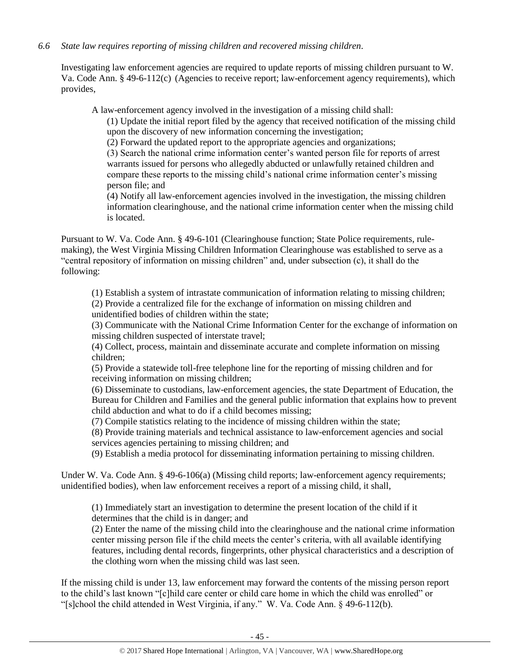## *6.6 State law requires reporting of missing children and recovered missing children.*

Investigating law enforcement agencies are required to update reports of missing children pursuant to W. Va. Code Ann. § 49-6-112(c) (Agencies to receive report; law-enforcement agency requirements), which provides,

A law-enforcement agency involved in the investigation of a missing child shall:

(1) Update the initial report filed by the agency that received notification of the missing child upon the discovery of new information concerning the investigation;

(2) Forward the updated report to the appropriate agencies and organizations;

(3) Search the national crime information center's wanted person file for reports of arrest warrants issued for persons who allegedly abducted or unlawfully retained children and compare these reports to the missing child's national crime information center's missing person file; and

(4) Notify all law-enforcement agencies involved in the investigation, the missing children information clearinghouse, and the national crime information center when the missing child is located.

Pursuant to W. Va. Code Ann. § 49-6-101 (Clearinghouse function; State Police requirements, rulemaking), the West Virginia Missing Children Information Clearinghouse was established to serve as a "central repository of information on missing children" and, under subsection (c), it shall do the following:

(1) Establish a system of intrastate communication of information relating to missing children; (2) Provide a centralized file for the exchange of information on missing children and unidentified bodies of children within the state;

(3) Communicate with the National Crime Information Center for the exchange of information on missing children suspected of interstate travel;

(4) Collect, process, maintain and disseminate accurate and complete information on missing children;

(5) Provide a statewide toll-free telephone line for the reporting of missing children and for receiving information on missing children;

(6) Disseminate to custodians, law-enforcement agencies, the state Department of Education, the Bureau for Children and Families and the general public information that explains how to prevent child abduction and what to do if a child becomes missing;

(7) Compile statistics relating to the incidence of missing children within the state;

(8) Provide training materials and technical assistance to law-enforcement agencies and social services agencies pertaining to missing children; and

(9) Establish a media protocol for disseminating information pertaining to missing children.

Under W. Va. Code Ann. § 49-6-106(a) (Missing child reports; law-enforcement agency requirements; unidentified bodies), when law enforcement receives a report of a missing child, it shall,

(1) Immediately start an investigation to determine the present location of the child if it determines that the child is in danger; and

(2) Enter the name of the missing child into the clearinghouse and the national crime information center missing person file if the child meets the center's criteria, with all available identifying features, including dental records, fingerprints, other physical characteristics and a description of the clothing worn when the missing child was last seen.

If the missing child is under 13, law enforcement may forward the contents of the missing person report to the child's last known "[c]hild care center or child care home in which the child was enrolled" or "[s]chool the child attended in West Virginia, if any." W. Va. Code Ann. § 49-6-112(b).